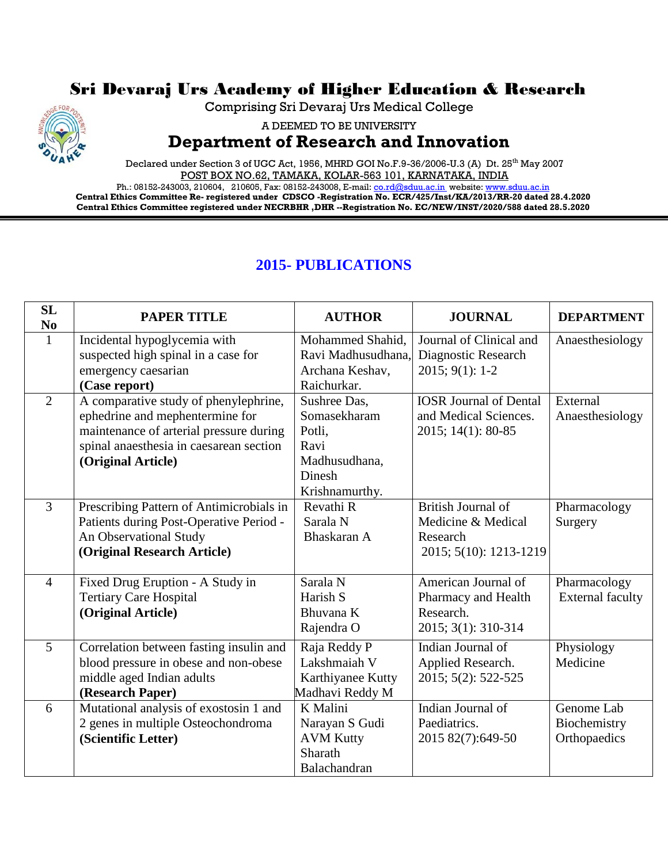## Sri Devaraj Urs Academy of Higher Education & Research



Comprising Sri Devaraj Urs Medical College

A DEEMED TO BE UNIVERSITY

## **Department of Research and Innovation**

Declared under Section 3 of UGC Act, 1956, MHRD GOI No.F.9-36/2006-U.3 (A) Dt. 25<sup>th</sup> May 2007 POST BOX NO.62, TAMAKA, KOLAR-563 101, KARNATAKA, INDIA

Ph.: 08152-243003, 210604, 210605, Fax: 08152-243008, E-mail[: co.rd@sduu.ac.in](mailto:co.rd@sduu.ac.in) website[: www.sduu.ac.in](http://www.sduu.ac.in/) **Central Ethics Committee Re- registered under CDSCO -Registration No. ECR/425/Inst/KA/2013/RR-20 dated 28.4.2020 Central Ethics Committee registered under NECRBHR ,DHR --Registration No. EC/NEW/INST/2020/588 dated 28.5.2020**

## **2015- PUBLICATIONS**

| SL<br>N <sub>0</sub> | <b>PAPER TITLE</b>                       | <b>AUTHOR</b>      | <b>JOURNAL</b>                | <b>DEPARTMENT</b>       |
|----------------------|------------------------------------------|--------------------|-------------------------------|-------------------------|
|                      | Incidental hypoglycemia with             | Mohammed Shahid,   | Journal of Clinical and       | Anaesthesiology         |
|                      | suspected high spinal in a case for      | Ravi Madhusudhana. | Diagnostic Research           |                         |
|                      | emergency caesarian                      | Archana Keshav,    | $2015; 9(1): 1-2$             |                         |
|                      | (Case report)                            | Raichurkar.        |                               |                         |
| 2                    | A comparative study of phenylephrine,    | Sushree Das,       | <b>IOSR Journal of Dental</b> | External                |
|                      | ephedrine and mephentermine for          | Somasekharam       | and Medical Sciences.         | Anaesthesiology         |
|                      | maintenance of arterial pressure during  | Potli,             | 2015; 14(1): 80-85            |                         |
|                      | spinal anaesthesia in caesarean section  | Ravi               |                               |                         |
|                      | (Original Article)                       | Madhusudhana,      |                               |                         |
|                      |                                          | Dinesh             |                               |                         |
|                      |                                          | Krishnamurthy.     |                               |                         |
| $\overline{3}$       | Prescribing Pattern of Antimicrobials in | Revathi R          | British Journal of            | Pharmacology            |
|                      | Patients during Post-Operative Period -  | Sarala N           | Medicine & Medical            | Surgery                 |
|                      | An Observational Study                   | Bhaskaran A        | Research                      |                         |
|                      | (Original Research Article)              |                    | 2015; 5(10): 1213-1219        |                         |
|                      |                                          |                    |                               |                         |
| $\overline{4}$       | Fixed Drug Eruption - A Study in         | Sarala N           | American Journal of           | Pharmacology            |
|                      | <b>Tertiary Care Hospital</b>            | Harish S           | Pharmacy and Health           | <b>External faculty</b> |
|                      | (Original Article)                       | Bhuvana K          | Research.                     |                         |
|                      |                                          | Rajendra O         | 2015; 3(1): 310-314           |                         |
| 5                    | Correlation between fasting insulin and  | Raja Reddy P       | Indian Journal of             | Physiology              |
|                      | blood pressure in obese and non-obese    | Lakshmaiah V       | Applied Research.             | Medicine                |
|                      | middle aged Indian adults                | Karthiyanee Kutty  | 2015; 5(2): 522-525           |                         |
|                      | (Research Paper)                         | Madhavi Reddy M    |                               |                         |
| 6                    | Mutational analysis of exostosin 1 and   | K Malini           | Indian Journal of             | Genome Lab              |
|                      | 2 genes in multiple Osteochondroma       | Narayan S Gudi     | Paediatrics.                  | Biochemistry            |
|                      | (Scientific Letter)                      | <b>AVM Kutty</b>   | 2015 82(7):649-50             | Orthopaedics            |
|                      |                                          | Sharath            |                               |                         |
|                      |                                          | Balachandran       |                               |                         |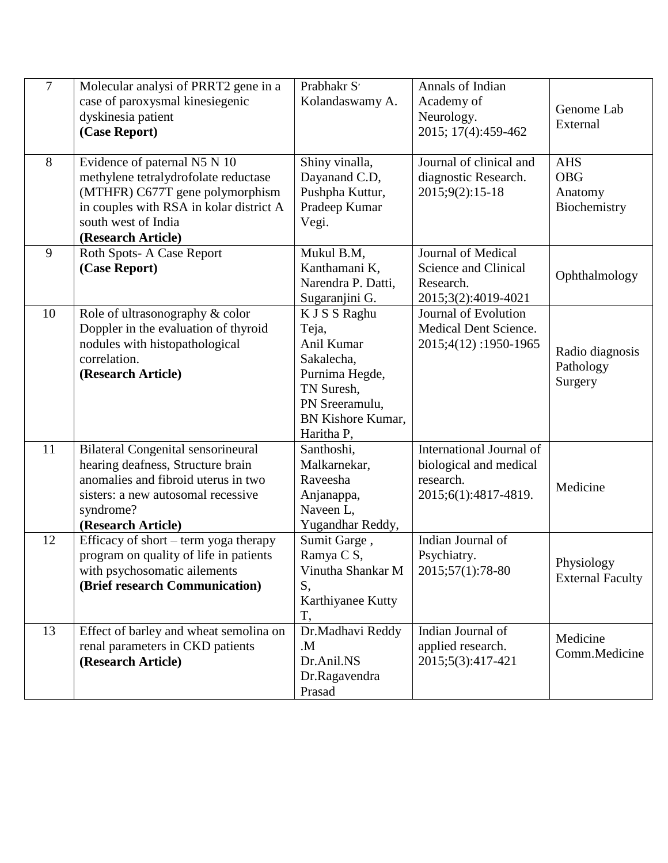| $\overline{7}$ | Molecular analysi of PRRT2 gene in a<br>case of paroxysmal kinesiegenic<br>dyskinesia patient<br>(Case Report)                                                                                  | Prabhakr S'<br>Kolandaswamy A.                                                                                                          | Annals of Indian<br>Academy of<br>Neurology.<br>2015; 17(4):459-462                     | Genome Lab<br>External                              |
|----------------|-------------------------------------------------------------------------------------------------------------------------------------------------------------------------------------------------|-----------------------------------------------------------------------------------------------------------------------------------------|-----------------------------------------------------------------------------------------|-----------------------------------------------------|
| 8              | Evidence of paternal N5 N 10<br>methylene tetralydrofolate reductase<br>(MTHFR) C677T gene polymorphism<br>in couples with RSA in kolar district A<br>south west of India<br>(Research Article) | Shiny vinalla,<br>Dayanand C.D,<br>Pushpha Kuttur,<br>Pradeep Kumar<br>Vegi.                                                            | Journal of clinical and<br>diagnostic Research.<br>2015;9(2):15-18                      | <b>AHS</b><br><b>OBG</b><br>Anatomy<br>Biochemistry |
| 9              | Roth Spots-A Case Report<br>(Case Report)                                                                                                                                                       | Mukul B.M,<br>Kanthamani K,<br>Narendra P. Datti,<br>Sugaranjini G.                                                                     | Journal of Medical<br>Science and Clinical<br>Research.<br>2015;3(2):4019-4021          | Ophthalmology                                       |
| 10             | Role of ultrasonography & color<br>Doppler in the evaluation of thyroid<br>nodules with histopathological<br>correlation.<br>(Research Article)                                                 | K J S S Raghu<br>Teja,<br>Anil Kumar<br>Sakalecha,<br>Purnima Hegde,<br>TN Suresh,<br>PN Sreeramulu,<br>BN Kishore Kumar,<br>Haritha P, | Journal of Evolution<br>Medical Dent Science.<br>2015;4(12):1950-1965                   | Radio diagnosis<br>Pathology<br>Surgery             |
| 11             | <b>Bilateral Congenital sensorineural</b><br>hearing deafness, Structure brain<br>anomalies and fibroid uterus in two<br>sisters: a new autosomal recessive<br>syndrome?<br>(Research Article)  | Santhoshi,<br>Malkarnekar,<br>Raveesha<br>Anjanappa,<br>Naveen L,<br>Yugandhar Reddy,                                                   | International Journal of<br>biological and medical<br>research.<br>2015;6(1):4817-4819. | Medicine                                            |
| 12             | Efficacy of short – term yoga therapy<br>program on quality of life in patients<br>with psychosomatic ailements<br>(Brief research Communication)                                               | Sumit Garge,<br>Ramya C S,<br>Vinutha Shankar M<br>S,<br>Karthiyanee Kutty<br>T,                                                        | Indian Journal of<br>Psychiatry.<br>2015;57(1):78-80                                    | Physiology<br><b>External Faculty</b>               |
| 13             | Effect of barley and wheat semolina on<br>renal parameters in CKD patients<br>(Research Article)                                                                                                | Dr.Madhavi Reddy<br>M.<br>Dr.Anil.NS<br>Dr.Ragavendra<br>Prasad                                                                         | Indian Journal of<br>applied research.<br>2015;5(3):417-421                             | Medicine<br>Comm.Medicine                           |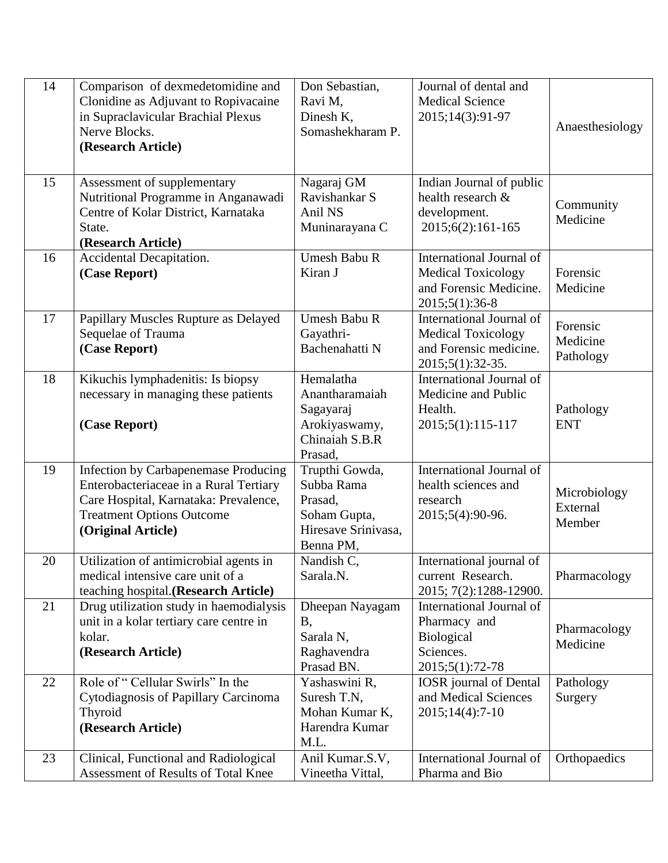| 14 | Comparison of dexmedetomidine and<br>Clonidine as Adjuvant to Ropivacaine<br>in Supraclavicular Brachial Plexus<br>Nerve Blocks.<br>(Research Article)                            | Don Sebastian,<br>Ravi M,<br>Dinesh K,<br>Somashekharam P.                                  | Journal of dental and<br><b>Medical Science</b><br>2015;14(3):91-97                                 | Anaesthesiology                    |
|----|-----------------------------------------------------------------------------------------------------------------------------------------------------------------------------------|---------------------------------------------------------------------------------------------|-----------------------------------------------------------------------------------------------------|------------------------------------|
| 15 | Assessment of supplementary<br>Nutritional Programme in Anganawadi<br>Centre of Kolar District, Karnataka<br>State.<br>(Research Article)                                         | Nagaraj GM<br>Ravishankar S<br>Anil NS<br>Muninarayana C                                    | Indian Journal of public<br>health research &<br>development.<br>2015;6(2):161-165                  | Community<br>Medicine              |
| 16 | Accidental Decapitation.<br>(Case Report)                                                                                                                                         | Umesh Babu R<br>Kiran J                                                                     | International Journal of<br><b>Medical Toxicology</b><br>and Forensic Medicine.<br>2015;5(1):36-8   | Forensic<br>Medicine               |
| 17 | Papillary Muscles Rupture as Delayed<br>Sequelae of Trauma<br>(Case Report)                                                                                                       | <b>Umesh Babu R</b><br>Gayathri-<br>Bachenahatti N                                          | International Journal of<br><b>Medical Toxicology</b><br>and Forensic medicine.<br>2015;5(1):32-35. | Forensic<br>Medicine<br>Pathology  |
| 18 | Kikuchis lymphadenitis: Is biopsy<br>necessary in managing these patients<br>(Case Report)                                                                                        | Hemalatha<br>Anantharamaiah<br>Sagayaraj<br>Arokiyaswamy,<br>Chinaiah S.B.R<br>Prasad,      | International Journal of<br>Medicine and Public<br>Health.<br>2015;5(1):115-117                     | Pathology<br><b>ENT</b>            |
| 19 | Infection by Carbapenemase Producing<br>Enterobacteriaceae in a Rural Tertiary<br>Care Hospital, Karnataka: Prevalence,<br><b>Treatment Options Outcome</b><br>(Original Article) | Trupthi Gowda,<br>Subba Rama<br>Prasad,<br>Soham Gupta,<br>Hiresave Srinivasa,<br>Benna PM, | International Journal of<br>health sciences and<br>research<br>2015;5(4):90-96.                     | Microbiology<br>External<br>Member |
| 20 | Utilization of antimicrobial agents in<br>medical intensive care unit of a<br>teaching hospital.(Research Article)                                                                | Nandish C,<br>Sarala.N.                                                                     | International journal of<br>current Research.<br>2015; 7(2):1288-12900.                             | Pharmacology                       |
| 21 | Drug utilization study in haemodialysis<br>unit in a kolar tertiary care centre in<br>kolar.<br>(Research Article)                                                                | Dheepan Nayagam<br><b>B</b> ,<br>Sarala N,<br>Raghavendra<br>Prasad BN.                     | International Journal of<br>Pharmacy and<br><b>Biological</b><br>Sciences.<br>2015;5(1):72-78       | Pharmacology<br>Medicine           |
| 22 | Role of "Cellular Swirls" In the<br>Cytodiagnosis of Papillary Carcinoma<br>Thyroid<br>(Research Article)                                                                         | Yashaswini R,<br>Suresh T.N,<br>Mohan Kumar K,<br>Harendra Kumar<br>M.L.                    | <b>IOSR</b> journal of Dental<br>and Medical Sciences<br>$2015;14(4):7-10$                          | Pathology<br>Surgery               |
| 23 | Clinical, Functional and Radiological<br>Assessment of Results of Total Knee                                                                                                      | Anil Kumar.S.V,<br>Vineetha Vittal,                                                         | International Journal of<br>Pharma and Bio                                                          | Orthopaedics                       |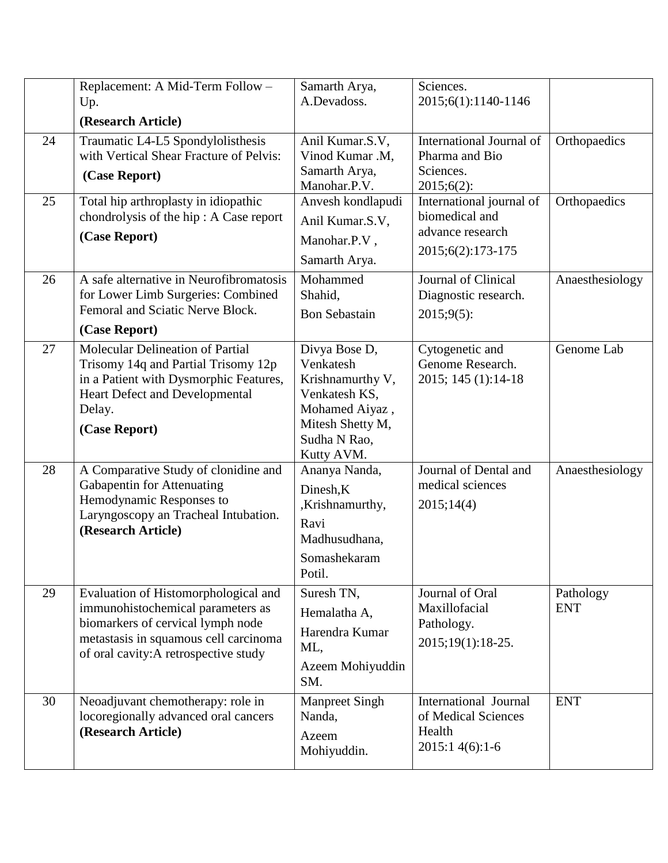|    | Replacement: A Mid-Term Follow -<br>Up.                                                                                                                                                          | Samarth Arya,<br>A.Devadoss.                                                                                                        | Sciences.<br>2015;6(1):1140-1146                                                    |                         |
|----|--------------------------------------------------------------------------------------------------------------------------------------------------------------------------------------------------|-------------------------------------------------------------------------------------------------------------------------------------|-------------------------------------------------------------------------------------|-------------------------|
|    | (Research Article)                                                                                                                                                                               |                                                                                                                                     |                                                                                     |                         |
| 24 | Traumatic L4-L5 Spondylolisthesis<br>with Vertical Shear Fracture of Pelvis:<br>(Case Report)                                                                                                    | Anil Kumar.S.V,<br>Vinod Kumar .M,<br>Samarth Arya,<br>Manohar.P.V.                                                                 | International Journal of<br>Pharma and Bio<br>Sciences.<br>$2015;6(2)$ :            | Orthopaedics            |
| 25 | Total hip arthroplasty in idiopathic<br>chondrolysis of the hip: A Case report<br>(Case Report)                                                                                                  | Anvesh kondlapudi<br>Anil Kumar.S.V,<br>Manohar.P.V,<br>Samarth Arya.                                                               | International journal of<br>biomedical and<br>advance research<br>2015;6(2):173-175 | Orthopaedics            |
| 26 | A safe alternative in Neurofibromatosis<br>for Lower Limb Surgeries: Combined<br>Femoral and Sciatic Nerve Block.<br>(Case Report)                                                               | Mohammed<br>Shahid,<br><b>Bon Sebastain</b>                                                                                         | Journal of Clinical<br>Diagnostic research.<br>$2015;9(5)$ :                        | Anaesthesiology         |
| 27 | Molecular Delineation of Partial<br>Trisomy 14q and Partial Trisomy 12p<br>in a Patient with Dysmorphic Features,<br><b>Heart Defect and Developmental</b><br>Delay.<br>(Case Report)            | Divya Bose D,<br>Venkatesh<br>Krishnamurthy V,<br>Venkatesh KS,<br>Mohamed Aiyaz,<br>Mitesh Shetty M,<br>Sudha N Rao,<br>Kutty AVM. | Cytogenetic and<br>Genome Research.<br>2015; 145 (1):14-18                          | Genome Lab              |
| 28 | A Comparative Study of clonidine and<br>Gabapentin for Attenuating<br>Hemodynamic Responses to<br>Laryngoscopy an Tracheal Intubation.<br>(Research Article)                                     | Ananya Nanda,<br>Dinesh, K<br>,Krishnamurthy,<br>Ravi<br>Madhusudhana,<br>Somashekaram<br>Potil.                                    | Journal of Dental and<br>medical sciences<br>2015;14(4)                             | Anaesthesiology         |
| 29 | Evaluation of Histomorphological and<br>immunohistochemical parameters as<br>biomarkers of cervical lymph node<br>metastasis in squamous cell carcinoma<br>of oral cavity: A retrospective study | Suresh TN,<br>Hemalatha A,<br>Harendra Kumar<br>ML,<br>Azeem Mohiyuddin<br>SM.                                                      | Journal of Oral<br>Maxillofacial<br>Pathology.<br>2015;19(1):18-25.                 | Pathology<br><b>ENT</b> |
| 30 | Neoadjuvant chemotherapy: role in<br>locoregionally advanced oral cancers<br>(Research Article)                                                                                                  | <b>Manpreet Singh</b><br>Nanda,<br>Azeem<br>Mohiyuddin.                                                                             | International Journal<br>of Medical Sciences<br>Health<br>2015:1 4(6):1-6           | <b>ENT</b>              |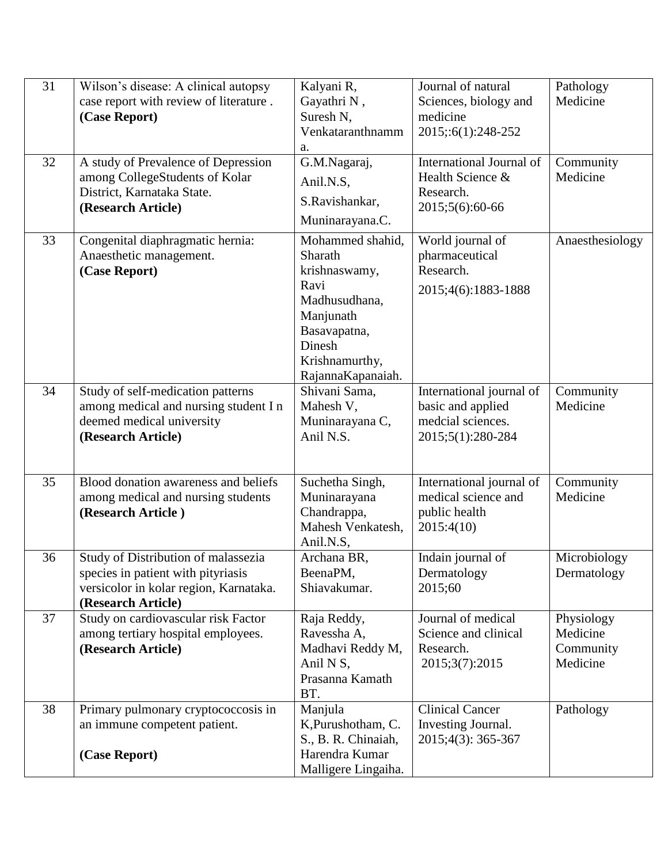| 31<br>32 | Wilson's disease: A clinical autopsy<br>case report with review of literature.<br>(Case Report)<br>A study of Prevalence of Depression<br>among CollegeStudents of Kolar | Kalyani R,<br>Gayathri N,<br>Suresh N,<br>Venkataranthnamm<br>a.<br>G.M.Nagaraj,<br>Anil.N.S,                                                       | Journal of natural<br>Sciences, biology and<br>medicine<br>2015;:6(1):248-252<br>International Journal of<br>Health Science & | Pathology<br>Medicine<br>Community<br>Medicine  |
|----------|--------------------------------------------------------------------------------------------------------------------------------------------------------------------------|-----------------------------------------------------------------------------------------------------------------------------------------------------|-------------------------------------------------------------------------------------------------------------------------------|-------------------------------------------------|
|          | District, Karnataka State.<br>(Research Article)                                                                                                                         | S.Ravishankar,<br>Muninarayana.C.                                                                                                                   | Research.<br>2015;5(6):60-66                                                                                                  |                                                 |
| 33       | Congenital diaphragmatic hernia:<br>Anaesthetic management.<br>(Case Report)                                                                                             | Mohammed shahid,<br>Sharath<br>krishnaswamy,<br>Ravi<br>Madhusudhana,<br>Manjunath<br>Basavapatna,<br>Dinesh<br>Krishnamurthy,<br>RajannaKapanaiah. | World journal of<br>pharmaceutical<br>Research.<br>2015;4(6):1883-1888                                                        | Anaesthesiology                                 |
| 34       | Study of self-medication patterns<br>among medical and nursing student I n<br>deemed medical university<br>(Research Article)                                            | Shivani Sama,<br>Mahesh V,<br>Muninarayana C,<br>Anil N.S.                                                                                          | International journal of<br>basic and applied<br>medcial sciences.<br>2015;5(1):280-284                                       | Community<br>Medicine                           |
| 35       | Blood donation awareness and beliefs<br>among medical and nursing students<br>(Research Article)                                                                         | Suchetha Singh,<br>Muninarayana<br>Chandrappa,<br>Mahesh Venkatesh,<br>Anil.N.S,                                                                    | International journal of<br>medical science and<br>public health<br>2015:4(10)                                                | Community<br>Medicine                           |
| 36       | Study of Distribution of malassezia<br>species in patient with pityriasis<br>versicolor in kolar region, Karnataka.<br>(Research Article)                                | Archana BR,<br>BeenaPM,<br>Shiavakumar.                                                                                                             | Indain journal of<br>Dermatology<br>2015;60                                                                                   | Microbiology<br>Dermatology                     |
| 37       | Study on cardiovascular risk Factor<br>among tertiary hospital employees.<br>(Research Article)                                                                          | Raja Reddy,<br>Ravessha A,<br>Madhavi Reddy M,<br>Anil N S,<br>Prasanna Kamath<br>BT.                                                               | Journal of medical<br>Science and clinical<br>Research.<br>2015;3(7):2015                                                     | Physiology<br>Medicine<br>Community<br>Medicine |
| 38       | Primary pulmonary cryptococcosis in<br>an immune competent patient.<br>(Case Report)                                                                                     | Manjula<br>K, Purushotham, C.<br>S., B. R. Chinaiah,<br>Harendra Kumar<br>Malligere Lingaiha.                                                       | <b>Clinical Cancer</b><br>Investing Journal.<br>2015;4(3): 365-367                                                            | Pathology                                       |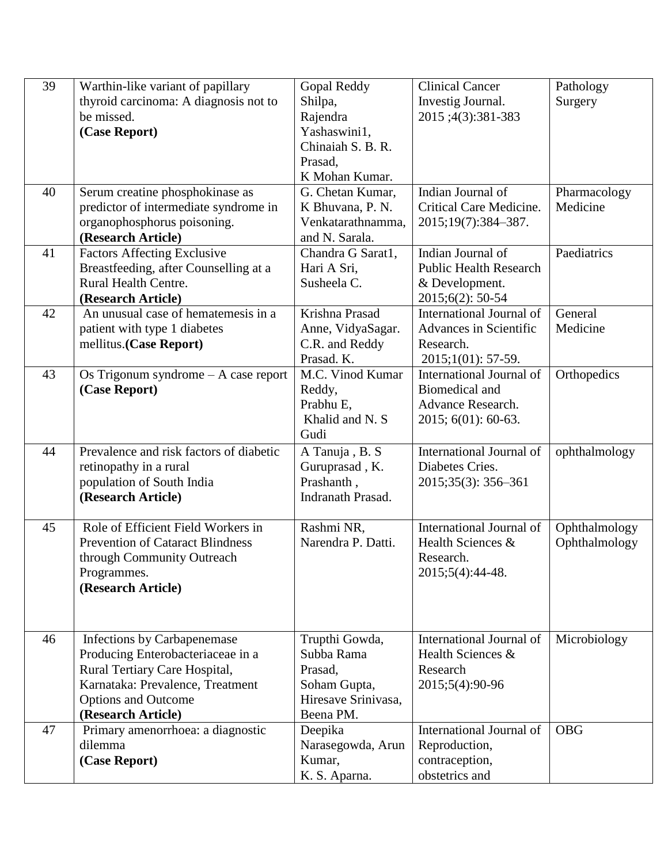| 39 | Warthin-like variant of papillary       | Gopal Reddy         | <b>Clinical Cancer</b>        | Pathology     |
|----|-----------------------------------------|---------------------|-------------------------------|---------------|
|    | thyroid carcinoma: A diagnosis not to   | Shilpa,             | Investig Journal.             | Surgery       |
|    | be missed.                              | Rajendra            | 2015;4(3):381-383             |               |
|    | (Case Report)                           | Yashaswini1,        |                               |               |
|    |                                         | Chinaiah S. B. R.   |                               |               |
|    |                                         | Prasad,             |                               |               |
|    |                                         | K Mohan Kumar.      |                               |               |
| 40 | Serum creatine phosphokinase as         | G. Chetan Kumar,    | Indian Journal of             | Pharmacology  |
|    | predictor of intermediate syndrome in   | K Bhuvana, P. N.    | Critical Care Medicine.       | Medicine      |
|    | organophosphorus poisoning.             | Venkatarathnamma,   | 2015;19(7):384-387.           |               |
|    | (Research Article)                      | and N. Sarala.      |                               |               |
| 41 | <b>Factors Affecting Exclusive</b>      | Chandra G Sarat1,   | Indian Journal of             | Paediatrics   |
|    | Breastfeeding, after Counselling at a   | Hari A Sri,         | <b>Public Health Research</b> |               |
|    | Rural Health Centre.                    | Susheela C.         | & Development.                |               |
|    | (Research Article)                      |                     | 2015;6(2): 50-54              |               |
| 42 | An unusual case of hematemesis in a     | Krishna Prasad      | International Journal of      | General       |
|    | patient with type 1 diabetes            | Anne, VidyaSagar.   | Advances in Scientific        | Medicine      |
|    | mellitus.(Case Report)                  | C.R. and Reddy      | Research.                     |               |
|    |                                         | Prasad. K.          | 2015;1(01): 57-59.            |               |
| 43 | Os Trigonum syndrome $-$ A case report  | M.C. Vinod Kumar    | International Journal of      | Orthopedics   |
|    | (Case Report)                           | Reddy,              | <b>Biomedical and</b>         |               |
|    |                                         | Prabhu E,           | Advance Research.             |               |
|    |                                         | Khalid and N. S     | $2015; 601); 60-63.$          |               |
|    |                                         | Gudi                |                               |               |
| 44 | Prevalence and risk factors of diabetic | A Tanuja, B. S.     | International Journal of      | ophthalmology |
|    | retinopathy in a rural                  | Guruprasad, K.      | Diabetes Cries.               |               |
|    | population of South India               | Prashanth,          | 2015;35(3): 356-361           |               |
|    | (Research Article)                      | Indranath Prasad.   |                               |               |
|    |                                         |                     |                               |               |
| 45 | Role of Efficient Field Workers in      | Rashmi NR,          | International Journal of      | Ophthalmology |
|    | <b>Prevention of Cataract Blindness</b> | Narendra P. Datti.  | Health Sciences &             | Ophthalmology |
|    | through Community Outreach              |                     | Research.                     |               |
|    | Programmes.                             |                     | 2015;5(4):44-48.              |               |
|    | (Research Article)                      |                     |                               |               |
|    |                                         |                     |                               |               |
|    |                                         |                     |                               |               |
| 46 | Infections by Carbapenemase             | Trupthi Gowda,      | International Journal of      | Microbiology  |
|    | Producing Enterobacteriaceae in a       | Subba Rama          | Health Sciences &             |               |
|    | Rural Tertiary Care Hospital,           | Prasad,             | Research                      |               |
|    | Karnataka: Prevalence, Treatment        | Soham Gupta,        | 2015;5(4):90-96               |               |
|    | <b>Options and Outcome</b>              | Hiresave Srinivasa, |                               |               |
|    | (Research Article)                      | Beena PM.           |                               |               |
| 47 | Primary amenorrhoea: a diagnostic       | Deepika             | International Journal of      | <b>OBG</b>    |
|    | dilemma                                 | Narasegowda, Arun   | Reproduction,                 |               |
|    | (Case Report)                           | Kumar,              | contraception,                |               |
|    |                                         | K. S. Aparna.       | obstetrics and                |               |
|    |                                         |                     |                               |               |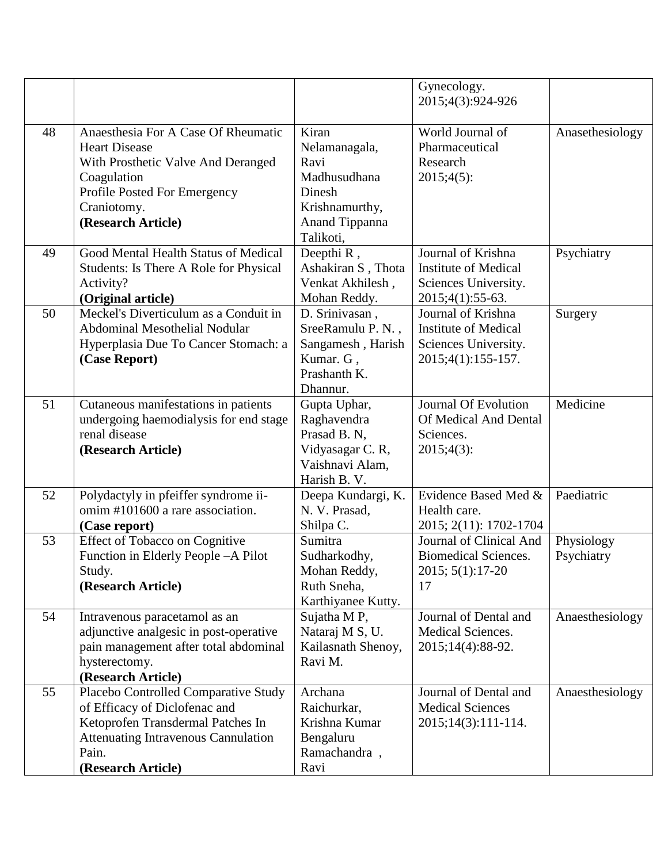|    |                                                                                                                                                                                         |                                                                                                           | Gynecology.<br>2015;4(3):924-926                                                                |                          |
|----|-----------------------------------------------------------------------------------------------------------------------------------------------------------------------------------------|-----------------------------------------------------------------------------------------------------------|-------------------------------------------------------------------------------------------------|--------------------------|
| 48 | Anaesthesia For A Case Of Rheumatic<br><b>Heart Disease</b><br>With Prosthetic Valve And Deranged<br>Coagulation<br>Profile Posted For Emergency<br>Craniotomy.<br>(Research Article)   | Kiran<br>Nelamanagala,<br>Ravi<br>Madhusudhana<br>Dinesh<br>Krishnamurthy,<br>Anand Tippanna<br>Talikoti, | World Journal of<br>Pharmaceutical<br>Research<br>2015;4(5):                                    | Anasethesiology          |
| 49 | Good Mental Health Status of Medical<br>Students: Is There A Role for Physical<br>Activity?<br>(Original article)                                                                       | Deepthi R,<br>Ashakiran S, Thota<br>Venkat Akhilesh,<br>Mohan Reddy.                                      | Journal of Krishna<br><b>Institute of Medical</b><br>Sciences University.<br>$2015;4(1):55-63.$ | Psychiatry               |
| 50 | Meckel's Diverticulum as a Conduit in<br>Abdominal Mesothelial Nodular<br>Hyperplasia Due To Cancer Stomach: a<br>(Case Report)                                                         | D. Srinivasan,<br>SreeRamulu P. N.,<br>Sangamesh, Harish<br>Kumar. G,<br>Prashanth K.<br>Dhannur.         | Journal of Krishna<br><b>Institute of Medical</b><br>Sciences University.<br>2015;4(1):155-157. | Surgery                  |
| 51 | Cutaneous manifestations in patients<br>undergoing haemodialysis for end stage<br>renal disease<br>(Research Article)                                                                   | Gupta Uphar,<br>Raghavendra<br>Prasad B. N,<br>Vidyasagar C. R,<br>Vaishnavi Alam,<br>Harish B. V.        | <b>Journal Of Evolution</b><br>Of Medical And Dental<br>Sciences.<br>2015;4(3):                 | Medicine                 |
| 52 | Polydactyly in pfeiffer syndrome ii-<br>omim #101600 a rare association.<br>(Case report)                                                                                               | Deepa Kundargi, K.<br>N. V. Prasad,<br>Shilpa C.                                                          | Evidence Based Med &<br>Health care.<br>2015; 2(11): 1702-1704                                  | Paediatric               |
| 53 | Effect of Tobacco on Cognitive<br>Function in Elderly People - A Pilot<br>Study.<br>(Research Article)                                                                                  | Sumitra<br>Sudharkodhy,<br>Mohan Reddy,<br>Ruth Sneha,<br>Karthiyanee Kutty.                              | Journal of Clinical And<br><b>Biomedical Sciences.</b><br>2015; 5(1):17-20<br>17                | Physiology<br>Psychiatry |
| 54 | Intravenous paracetamol as an<br>adjunctive analgesic in post-operative<br>pain management after total abdominal<br>hysterectomy.<br>(Research Article)                                 | Sujatha M P,<br>Nataraj M S, U.<br>Kailasnath Shenoy,<br>Ravi M.                                          | Journal of Dental and<br><b>Medical Sciences.</b><br>2015;14(4):88-92.                          | Anaesthesiology          |
| 55 | Placebo Controlled Comparative Study<br>of Efficacy of Diclofenac and<br>Ketoprofen Transdermal Patches In<br><b>Attenuating Intravenous Cannulation</b><br>Pain.<br>(Research Article) | Archana<br>Raichurkar,<br>Krishna Kumar<br>Bengaluru<br>Ramachandra,<br>Ravi                              | Journal of Dental and<br><b>Medical Sciences</b><br>2015;14(3):111-114.                         | Anaesthesiology          |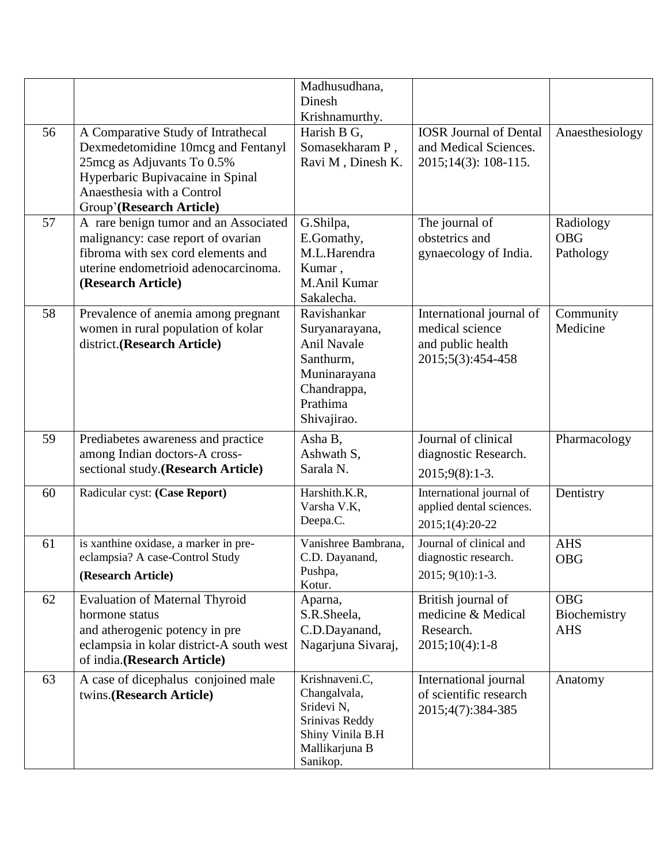|    |                                                                                                                                                                                                      | Madhusudhana,<br>Dinesh<br>Krishnamurthy.                                                                                  |                                                                                       |                                          |
|----|------------------------------------------------------------------------------------------------------------------------------------------------------------------------------------------------------|----------------------------------------------------------------------------------------------------------------------------|---------------------------------------------------------------------------------------|------------------------------------------|
| 56 | A Comparative Study of Intrathecal<br>Dexmedetomidine 10mcg and Fentanyl<br>25mcg as Adjuvants To 0.5%<br>Hyperbaric Bupivacaine in Spinal<br>Anaesthesia with a Control<br>Group'(Research Article) | Harish B G,<br>Somasekharam P,<br>Ravi M, Dinesh K.                                                                        | <b>IOSR Journal of Dental</b><br>and Medical Sciences.<br>2015;14(3): 108-115.        | Anaesthesiology                          |
| 57 | A rare benign tumor and an Associated<br>malignancy: case report of ovarian<br>fibroma with sex cord elements and<br>uterine endometrioid adenocarcinoma.<br>(Research Article)                      | G.Shilpa,<br>E.Gomathy,<br>M.L.Harendra<br>Kumar,<br>M.Anil Kumar<br>Sakalecha.                                            | The journal of<br>obstetrics and<br>gynaecology of India.                             | Radiology<br><b>OBG</b><br>Pathology     |
| 58 | Prevalence of anemia among pregnant<br>women in rural population of kolar<br>district.(Research Article)                                                                                             | Ravishankar<br>Suryanarayana,<br><b>Anil Navale</b><br>Santhurm,<br>Muninarayana<br>Chandrappa,<br>Prathima<br>Shivajirao. | International journal of<br>medical science<br>and public health<br>2015;5(3):454-458 | Community<br>Medicine                    |
| 59 | Prediabetes awareness and practice<br>among Indian doctors-A cross-<br>sectional study. (Research Article)                                                                                           | Asha B,<br>Ashwath S,<br>Sarala N.                                                                                         | Journal of clinical<br>diagnostic Research.<br>$2015;9(8):1-3.$                       | Pharmacology                             |
| 60 | Radicular cyst: (Case Report)                                                                                                                                                                        | Harshith.K.R,<br>Varsha V.K,<br>Deepa.C.                                                                                   | International journal of<br>applied dental sciences.<br>2015;1(4):20-22               | Dentistry                                |
| 61 | is xanthine oxidase, a marker in pre-<br>eclampsia? A case-Control Study<br>(Research Article)                                                                                                       | Vanishree Bambrana,<br>C.D. Dayanand,<br>Pushpa,<br>Kotur.                                                                 | Journal of clinical and<br>diagnostic research.<br>2015; 9(10):1-3.                   | <b>AHS</b><br><b>OBG</b>                 |
| 62 | <b>Evaluation of Maternal Thyroid</b><br>hormone status<br>and atherogenic potency in pre<br>eclampsia in kolar district-A south west<br>of india.(Research Article)                                 | Aparna,<br>S.R.Sheela,<br>C.D.Dayanand,<br>Nagarjuna Sivaraj,                                                              | British journal of<br>medicine & Medical<br>Research.<br>$2015;10(4):1-8$             | <b>OBG</b><br>Biochemistry<br><b>AHS</b> |
| 63 | A case of dicephalus conjoined male<br>twins.(Research Article)                                                                                                                                      | Krishnaveni.C,<br>Changalvala,<br>Sridevi N,<br>Srinivas Reddy<br>Shiny Vinila B.H<br>Mallikarjuna B<br>Sanikop.           | International journal<br>of scientific research<br>2015;4(7):384-385                  | Anatomy                                  |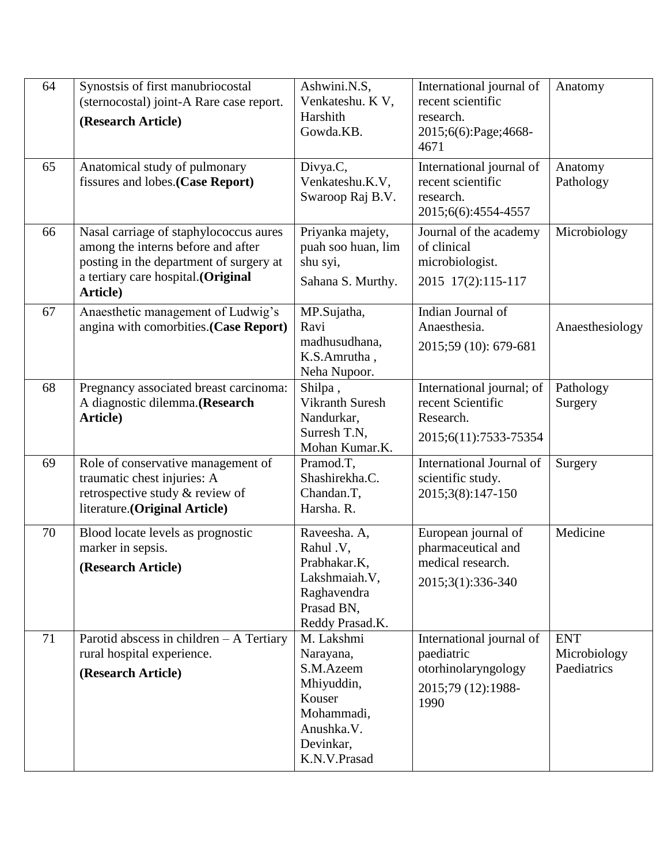| 64 | Synostsis of first manubriocostal<br>(sternocostal) joint-A Rare case report.<br>(Research Article)                                                                       | Ashwini.N.S,<br>Venkateshu. K V,<br>Harshith<br>Gowda.KB.                                                             | International journal of<br>recent scientific<br>research.<br>2015;6(6):Page;4668-<br>4671  | Anatomy                                   |
|----|---------------------------------------------------------------------------------------------------------------------------------------------------------------------------|-----------------------------------------------------------------------------------------------------------------------|---------------------------------------------------------------------------------------------|-------------------------------------------|
| 65 | Anatomical study of pulmonary<br>fissures and lobes. (Case Report)                                                                                                        | Divya.C,<br>Venkateshu.K.V,<br>Swaroop Raj B.V.                                                                       | International journal of<br>recent scientific<br>research.<br>2015;6(6):4554-4557           | Anatomy<br>Pathology                      |
| 66 | Nasal carriage of staphylococcus aures<br>among the interns before and after<br>posting in the department of surgery at<br>a tertiary care hospital.(Original<br>Article) | Priyanka majety,<br>puah soo huan, lim<br>shu syi,<br>Sahana S. Murthy.                                               | Journal of the academy<br>of clinical<br>microbiologist.<br>2015 17(2):115-117              | Microbiology                              |
| 67 | Anaesthetic management of Ludwig's<br>angina with comorbities.(Case Report)                                                                                               | MP.Sujatha,<br>Ravi<br>madhusudhana,<br>K.S.Amrutha,<br>Neha Nupoor.                                                  | Indian Journal of<br>Anaesthesia.<br>2015;59 (10): 679-681                                  | Anaesthesiology                           |
| 68 | Pregnancy associated breast carcinoma:<br>A diagnostic dilemma. (Research<br>Article)                                                                                     | Shilpa,<br><b>Vikranth Suresh</b><br>Nandurkar,<br>Surresh T.N.<br>Mohan Kumar.K.                                     | International journal; of<br>recent Scientific<br>Research.<br>2015;6(11):7533-75354        | Pathology<br>Surgery                      |
| 69 | Role of conservative management of<br>traumatic chest injuries: A<br>retrospective study & review of<br>literature. (Original Article)                                    | Pramod.T,<br>Shashirekha.C.<br>Chandan.T,<br>Harsha. R.                                                               | International Journal of<br>scientific study.<br>2015;3(8):147-150                          | Surgery                                   |
| 70 | Blood locate levels as prognostic<br>marker in sepsis.<br>(Research Article)                                                                                              | Raveesha. A,<br>Rahul .V,<br>Prabhakar.K,<br>Lakshmaiah. V,<br>Raghavendra<br>Prasad BN,<br>Reddy Prasad.K.           | European journal of<br>pharmaceutical and<br>medical research.<br>2015;3(1):336-340         | Medicine                                  |
| 71 | Parotid abscess in children $-$ A Tertiary<br>rural hospital experience.<br>(Research Article)                                                                            | M. Lakshmi<br>Narayana,<br>S.M.Azeem<br>Mhiyuddin,<br>Kouser<br>Mohammadi,<br>Anushka.V.<br>Devinkar,<br>K.N.V.Prasad | International journal of<br>paediatric<br>otorhinolaryngology<br>2015;79 (12):1988-<br>1990 | <b>ENT</b><br>Microbiology<br>Paediatrics |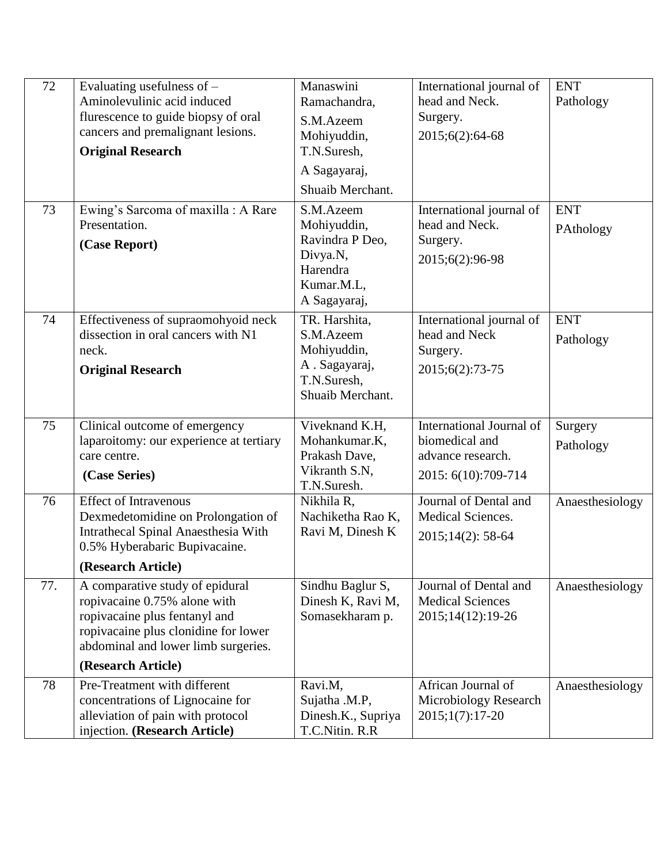| 72  | Evaluating usefulness of $-$<br>Aminolevulinic acid induced<br>flurescence to guide biopsy of oral<br>cancers and premalignant lesions.<br><b>Original Research</b>                                   | Manaswini<br>Ramachandra,<br>S.M.Azeem<br>Mohiyuddin,<br>T.N.Suresh,<br>A Sagayaraj,<br>Shuaib Merchant. | International journal of<br>head and Neck.<br>Surgery.<br>2015;6(2):64-68              | <b>ENT</b><br>Pathology |
|-----|-------------------------------------------------------------------------------------------------------------------------------------------------------------------------------------------------------|----------------------------------------------------------------------------------------------------------|----------------------------------------------------------------------------------------|-------------------------|
| 73  | Ewing's Sarcoma of maxilla: A Rare<br>Presentation.<br>(Case Report)                                                                                                                                  | S.M.Azeem<br>Mohiyuddin,<br>Ravindra P Deo,<br>Divya.N,<br>Harendra<br>Kumar.M.L,<br>A Sagayaraj,        | International journal of<br>head and Neck.<br>Surgery.<br>2015;6(2):96-98              | <b>ENT</b><br>PAthology |
| 74  | Effectiveness of supraomohyoid neck<br>dissection in oral cancers with N1<br>neck.<br><b>Original Research</b>                                                                                        | TR. Harshita,<br>S.M.Azeem<br>Mohiyuddin,<br>A. Sagayaraj,<br>T.N.Suresh,<br>Shuaib Merchant.            | International journal of<br>head and Neck<br>Surgery.<br>2015;6(2):73-75               | <b>ENT</b><br>Pathology |
| 75  | Clinical outcome of emergency<br>laparoitomy: our experience at tertiary<br>care centre.<br>(Case Series)                                                                                             | Viveknand K.H,<br>Mohankumar.K,<br>Prakash Dave,<br>Vikranth S.N,<br>T.N.Suresh.                         | International Journal of<br>biomedical and<br>advance research.<br>2015: 6(10):709-714 | Surgery<br>Pathology    |
| 76  | <b>Effect of Intravenous</b><br>Dexmedetomidine on Prolongation of<br><b>Intrathecal Spinal Anaesthesia With</b><br>0.5% Hyberabaric Bupivacaine.<br>(Research Article)                               | Nikhila R,<br>Nachiketha Rao K,<br>Ravi M, Dinesh K                                                      | Journal of Dental and<br><b>Medical Sciences.</b><br>$2015;14(2):58-64$                | Anaesthesiology         |
| 77. | A comparative study of epidural<br>ropivacaine 0.75% alone with<br>ropivacaine plus fentanyl and<br>ropivacaine plus clonidine for lower<br>abdominal and lower limb surgeries.<br>(Research Article) | Sindhu Baglur S,<br>Dinesh K, Ravi M,<br>Somasekharam p.                                                 | Journal of Dental and<br><b>Medical Sciences</b><br>2015;14(12):19-26                  | Anaesthesiology         |
| 78  | Pre-Treatment with different<br>concentrations of Lignocaine for<br>alleviation of pain with protocol<br>injection. (Research Article)                                                                | Ravi.M,<br>Sujatha .M.P,<br>Dinesh.K., Supriya<br>T.C.Nitin. R.R                                         | African Journal of<br>Microbiology Research<br>$2015;1(7):17-20$                       | Anaesthesiology         |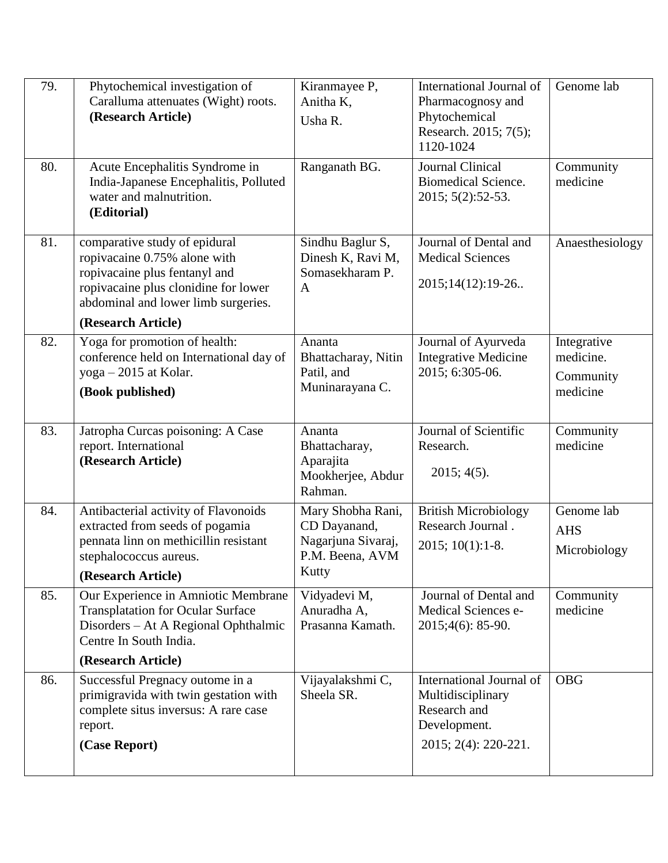| 79. | Phytochemical investigation of<br>Caralluma attenuates (Wight) roots.<br>(Research Article)                                                                                   | Kiranmayee P,<br>Anitha K,<br>Usha R.                                    | International Journal of<br>Pharmacognosy and<br>Phytochemical<br>Research. 2015; 7(5);<br>1120-1024 | Genome lab                 |
|-----|-------------------------------------------------------------------------------------------------------------------------------------------------------------------------------|--------------------------------------------------------------------------|------------------------------------------------------------------------------------------------------|----------------------------|
| 80. | Acute Encephalitis Syndrome in<br>India-Japanese Encephalitis, Polluted<br>water and malnutrition.<br>(Editorial)                                                             | Ranganath BG.                                                            | Journal Clinical<br><b>Biomedical Science.</b><br>2015; 5(2):52-53.                                  | Community<br>medicine      |
| 81. | comparative study of epidural<br>ropivacaine 0.75% alone with<br>ropivacaine plus fentanyl and<br>ropivacaine plus clonidine for lower<br>abdominal and lower limb surgeries. | Sindhu Baglur S,<br>Dinesh K, Ravi M,<br>Somasekharam P.<br>$\mathbf{A}$ | Journal of Dental and<br><b>Medical Sciences</b><br>2015;14(12):19-26                                | Anaesthesiology            |
|     | (Research Article)                                                                                                                                                            |                                                                          |                                                                                                      |                            |
| 82. | Yoga for promotion of health:<br>conference held on International day of                                                                                                      | Ananta<br>Bhattacharay, Nitin                                            | Journal of Ayurveda<br><b>Integrative Medicine</b>                                                   | Integrative<br>medicine.   |
|     | $yoga - 2015$ at Kolar.                                                                                                                                                       | Patil, and<br>Muninarayana C.                                            | 2015; 6:305-06.                                                                                      | Community                  |
|     | (Book published)                                                                                                                                                              |                                                                          |                                                                                                      | medicine                   |
| 83. | Jatropha Curcas poisoning: A Case<br>report. International<br>(Research Article)                                                                                              | Ananta<br>Bhattacharay,<br>Aparajita<br>Mookherjee, Abdur<br>Rahman.     | Journal of Scientific<br>Research.<br>$2015; 4(5)$ .                                                 | Community<br>medicine      |
| 84. | Antibacterial activity of Flavonoids<br>extracted from seeds of pogamia                                                                                                       | Mary Shobha Rani,<br>CD Dayanand,                                        | <b>British Microbiology</b><br>Research Journal.                                                     | Genome lab                 |
|     | pennata linn on methicillin resistant                                                                                                                                         | Nagarjuna Sivaraj,                                                       | 2015; 10(1):1-8.                                                                                     | <b>AHS</b><br>Microbiology |
|     | stephalococcus aureus.<br>(Research Article)                                                                                                                                  | P.M. Beena, AVM<br>Kutty                                                 |                                                                                                      |                            |
| 85. | Our Experience in Amniotic Membrane                                                                                                                                           | Vidyadevi M,                                                             | Journal of Dental and                                                                                | Community                  |
|     | <b>Transplatation for Ocular Surface</b><br>Disorders – At A Regional Ophthalmic<br>Centre In South India.                                                                    | Anuradha A,<br>Prasanna Kamath.                                          | Medical Sciences e-<br>$2015;4(6): 85-90.$                                                           | medicine                   |
|     | (Research Article)                                                                                                                                                            |                                                                          |                                                                                                      |                            |
| 86. | Successful Pregnacy outome in a<br>primigravida with twin gestation with                                                                                                      | Vijayalakshmi C,<br>Sheela SR.                                           | International Journal of<br>Multidisciplinary                                                        | <b>OBG</b>                 |
|     | complete situs inversus: A rare case<br>report.<br>(Case Report)                                                                                                              |                                                                          | Research and<br>Development.<br>2015; 2(4): 220-221.                                                 |                            |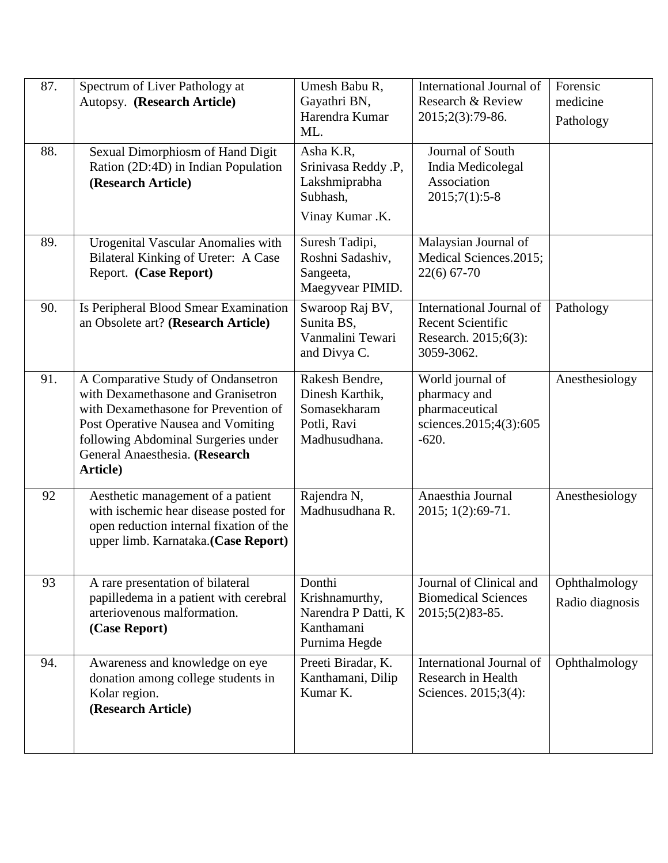| 87. | Spectrum of Liver Pathology at<br>Autopsy. (Research Article)                                                                                                                                                                               | Umesh Babu R,<br>Gayathri BN,<br>Harendra Kumar<br>ML.                            | International Journal of<br>Research & Review<br>2015;2(3):79-86.                          | Forensic<br>medicine<br>Pathology |
|-----|---------------------------------------------------------------------------------------------------------------------------------------------------------------------------------------------------------------------------------------------|-----------------------------------------------------------------------------------|--------------------------------------------------------------------------------------------|-----------------------------------|
| 88. | Sexual Dimorphiosm of Hand Digit<br>Ration (2D:4D) in Indian Population<br>(Research Article)                                                                                                                                               | Asha K.R,<br>Srinivasa Reddy .P,<br>Lakshmiprabha<br>Subhash,<br>Vinay Kumar .K.  | Journal of South<br>India Medicolegal<br>Association<br>$2015;7(1):5-8$                    |                                   |
| 89. | Urogenital Vascular Anomalies with<br>Bilateral Kinking of Ureter: A Case<br>Report. (Case Report)                                                                                                                                          | Suresh Tadipi,<br>Roshni Sadashiv,<br>Sangeeta,<br>Maegyvear PIMID.               | Malaysian Journal of<br>Medical Sciences.2015;<br>$22(6)$ 67-70                            |                                   |
| 90. | Is Peripheral Blood Smear Examination<br>an Obsolete art? (Research Article)                                                                                                                                                                | Swaroop Raj BV,<br>Sunita BS,<br>Vanmalini Tewari<br>and Divya C.                 | International Journal of<br><b>Recent Scientific</b><br>Research. 2015;6(3):<br>3059-3062. | Pathology                         |
| 91. | A Comparative Study of Ondansetron<br>with Dexamethasone and Granisetron<br>with Dexamethasone for Prevention of<br>Post Operative Nausea and Vomiting<br>following Abdominal Surgeries under<br>General Anaesthesia. (Research<br>Article) | Rakesh Bendre,<br>Dinesh Karthik,<br>Somasekharam<br>Potli, Ravi<br>Madhusudhana. | World journal of<br>pharmacy and<br>pharmaceutical<br>sciences.2015;4(3):605<br>$-620.$    | Anesthesiology                    |
| 92  | Aesthetic management of a patient<br>with ischemic hear disease posted for<br>open reduction internal fixation of the<br>upper limb. Karnataka.(Case Report)                                                                                | Rajendra N,<br>Madhusudhana R.                                                    | Anaesthia Journal<br>2015; 1(2):69-71.                                                     | Anesthesiology                    |
| 93  | A rare presentation of bilateral<br>papilledema in a patient with cerebral<br>arteriovenous malformation.<br>(Case Report)                                                                                                                  | Donthi<br>Krishnamurthy,<br>Narendra P Datti, K<br>Kanthamani<br>Purnima Hegde    | Journal of Clinical and<br><b>Biomedical Sciences</b><br>2015;5(2)83-85.                   | Ophthalmology<br>Radio diagnosis  |
| 94. | Awareness and knowledge on eye<br>donation among college students in<br>Kolar region.<br>(Research Article)                                                                                                                                 | Preeti Biradar, K.<br>Kanthamani, Dilip<br>Kumar K.                               | International Journal of<br>Research in Health<br>Sciences. 2015;3(4):                     | Ophthalmology                     |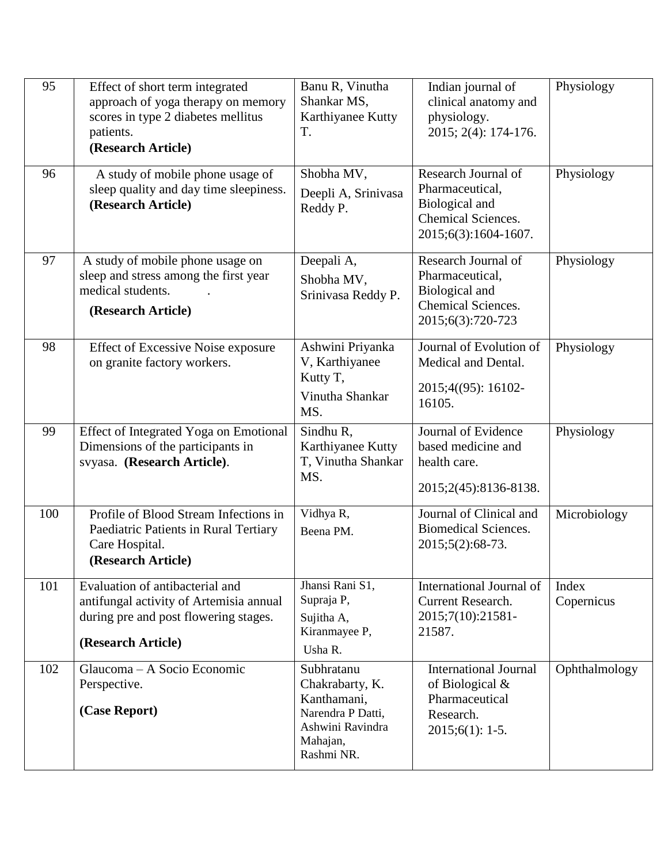| 95  | Effect of short term integrated<br>approach of yoga therapy on memory<br>scores in type 2 diabetes mellitus<br>patients.<br>(Research Article) | Banu R, Vinutha<br>Shankar MS,<br>Karthiyanee Kutty<br>T.                                                       | Indian journal of<br>clinical anatomy and<br>physiology.<br>2015; 2(4): 174-176.                       | Physiology          |
|-----|------------------------------------------------------------------------------------------------------------------------------------------------|-----------------------------------------------------------------------------------------------------------------|--------------------------------------------------------------------------------------------------------|---------------------|
| 96  | A study of mobile phone usage of<br>sleep quality and day time sleepiness.<br>(Research Article)                                               | Shobha MV,<br>Deepli A, Srinivasa<br>Reddy P.                                                                   | Research Journal of<br>Pharmaceutical,<br>Biological and<br>Chemical Sciences.<br>2015;6(3):1604-1607. | Physiology          |
| 97  | A study of mobile phone usage on<br>sleep and stress among the first year<br>medical students.<br>(Research Article)                           | Deepali A,<br>Shobha MV,<br>Srinivasa Reddy P.                                                                  | Research Journal of<br>Pharmaceutical,<br>Biological and<br>Chemical Sciences.<br>2015;6(3):720-723    | Physiology          |
| 98  | <b>Effect of Excessive Noise exposure</b><br>on granite factory workers.                                                                       | Ashwini Priyanka<br>V, Karthiyanee<br>Kutty T,<br>Vinutha Shankar<br>MS.                                        | Journal of Evolution of<br>Medical and Dental.<br>2015;4((95): 16102-<br>16105.                        | Physiology          |
| 99  | Effect of Integrated Yoga on Emotional<br>Dimensions of the participants in<br>svyasa. (Research Article).                                     | Sindhu R,<br>Karthiyanee Kutty<br>T, Vinutha Shankar<br>MS.                                                     | Journal of Evidence<br>based medicine and<br>health care.<br>2015;2(45):8136-8138.                     | Physiology          |
| 100 | Profile of Blood Stream Infections in<br>Paediatric Patients in Rural Tertiary<br>Care Hospital.<br>(Research Article)                         | Vidhya R,<br>Beena PM.                                                                                          | Journal of Clinical and<br><b>Biomedical Sciences.</b><br>2015;5(2):68-73.                             | Microbiology        |
| 101 | Evaluation of antibacterial and<br>antifungal activity of Artemisia annual<br>during pre and post flowering stages.<br>(Research Article)      | Jhansi Rani S1,<br>Supraja P,<br>Sujitha A,<br>Kiranmayee P,<br>Usha R.                                         | International Journal of<br><b>Current Research.</b><br>2015;7(10):21581-<br>21587.                    | Index<br>Copernicus |
| 102 | Glaucoma – A Socio Economic<br>Perspective.<br>(Case Report)                                                                                   | Subhratanu<br>Chakrabarty, K.<br>Kanthamani,<br>Narendra P Datti,<br>Ashwini Ravindra<br>Mahajan,<br>Rashmi NR. | <b>International Journal</b><br>of Biological &<br>Pharmaceutical<br>Research.<br>$2015;6(1): 1-5.$    | Ophthalmology       |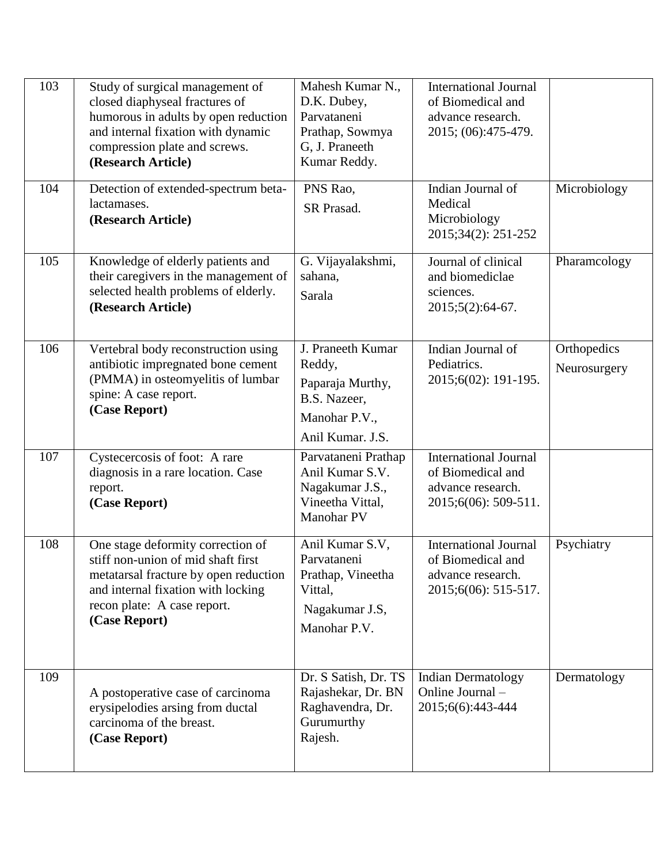| 103 | Study of surgical management of<br>closed diaphyseal fractures of<br>humorous in adults by open reduction<br>and internal fixation with dynamic<br>compression plate and screws.<br>(Research Article) | Mahesh Kumar N.,<br>D.K. Dubey,<br>Parvataneni<br>Prathap, Sowmya<br>G, J. Praneeth<br>Kumar Reddy.  | <b>International Journal</b><br>of Biomedical and<br>advance research.<br>2015; (06):475-479.  |                             |
|-----|--------------------------------------------------------------------------------------------------------------------------------------------------------------------------------------------------------|------------------------------------------------------------------------------------------------------|------------------------------------------------------------------------------------------------|-----------------------------|
| 104 | Detection of extended-spectrum beta-<br>lactamases.<br>(Research Article)                                                                                                                              | PNS Rao,<br>SR Prasad.                                                                               | Indian Journal of<br>Medical<br>Microbiology<br>2015;34(2): 251-252                            | Microbiology                |
| 105 | Knowledge of elderly patients and<br>their caregivers in the management of<br>selected health problems of elderly.<br>(Research Article)                                                               | G. Vijayalakshmi,<br>sahana,<br>Sarala                                                               | Journal of clinical<br>and biomediclae<br>sciences.<br>2015;5(2):64-67.                        | Pharamcology                |
| 106 | Vertebral body reconstruction using<br>antibiotic impregnated bone cement<br>(PMMA) in osteomyelitis of lumbar<br>spine: A case report.<br>(Case Report)                                               | J. Praneeth Kumar<br>Reddy,<br>Paparaja Murthy,<br>B.S. Nazeer,<br>Manohar P.V.,<br>Anil Kumar. J.S. | Indian Journal of<br>Pediatrics.<br>2015;6(02): 191-195.                                       | Orthopedics<br>Neurosurgery |
| 107 | Cystecercosis of foot: A rare<br>diagnosis in a rare location. Case<br>report.<br>(Case Report)                                                                                                        | Parvataneni Prathap<br>Anil Kumar S.V.<br>Nagakumar J.S.,<br>Vineetha Vittal,<br>Manohar PV          | <b>International Journal</b><br>of Biomedical and<br>advance research.<br>2015;6(06): 509-511. |                             |
| 108 | One stage deformity correction of<br>stiff non-union of mid shaft first<br>metatarsal fracture by open reduction<br>and internal fixation with locking<br>recon plate: A case report.<br>(Case Report) | Anil Kumar S.V,<br>Parvataneni<br>Prathap, Vineetha<br>Vittal,<br>Nagakumar J.S,<br>Manohar P.V.     | <b>International Journal</b><br>of Biomedical and<br>advance research.<br>2015;6(06): 515-517. | Psychiatry                  |
| 109 | A postoperative case of carcinoma<br>erysipelodies arsing from ductal<br>carcinoma of the breast.<br>(Case Report)                                                                                     | Dr. S Satish, Dr. TS<br>Rajashekar, Dr. BN<br>Raghavendra, Dr.<br>Gurumurthy<br>Rajesh.              | <b>Indian Dermatology</b><br>Online Journal -<br>2015;6(6):443-444                             | Dermatology                 |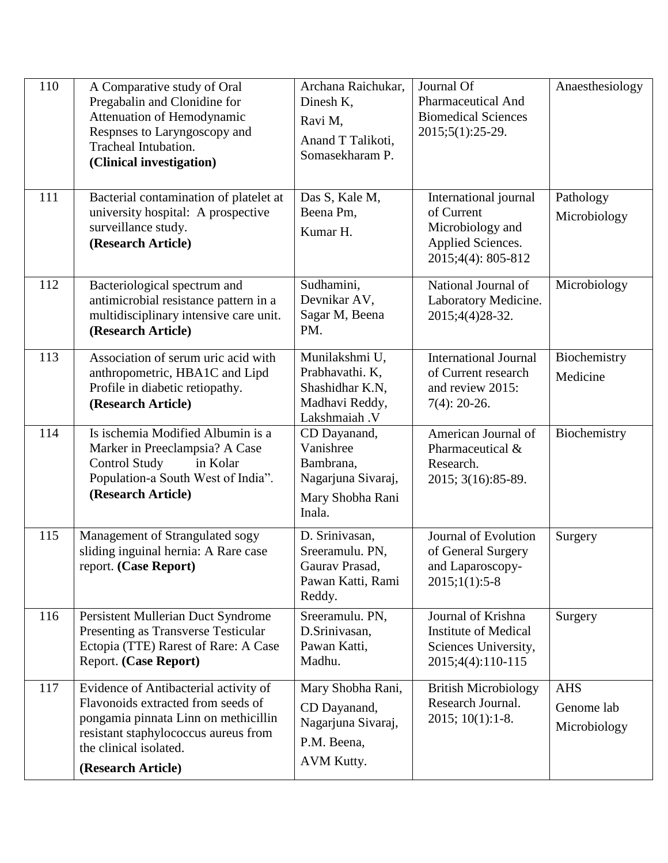| 110 | A Comparative study of Oral<br>Pregabalin and Clonidine for<br>Attenuation of Hemodynamic<br>Respnses to Laryngoscopy and<br>Tracheal Intubation.<br>(Clinical investigation)                               | Archana Raichukar,<br>Dinesh K,<br>Ravi M,<br>Anand T Talikoti,<br>Somasekharam P.         | Journal Of<br><b>Pharmaceutical And</b><br><b>Biomedical Sciences</b><br>2015;5(1):25-29.          | Anaesthesiology                          |
|-----|-------------------------------------------------------------------------------------------------------------------------------------------------------------------------------------------------------------|--------------------------------------------------------------------------------------------|----------------------------------------------------------------------------------------------------|------------------------------------------|
| 111 | Bacterial contamination of platelet at<br>university hospital: A prospective<br>surveillance study.<br>(Research Article)                                                                                   | Das S, Kale M,<br>Beena Pm,<br>Kumar H.                                                    | International journal<br>of Current<br>Microbiology and<br>Applied Sciences.<br>2015;4(4): 805-812 | Pathology<br>Microbiology                |
| 112 | Bacteriological spectrum and<br>antimicrobial resistance pattern in a<br>multidisciplinary intensive care unit.<br>(Research Article)                                                                       | Sudhamini,<br>Devnikar AV,<br>Sagar M, Beena<br>PM.                                        | National Journal of<br>Laboratory Medicine.<br>2015;4(4)28-32.                                     | Microbiology                             |
| 113 | Association of serum uric acid with<br>anthropometric, HBA1C and Lipd<br>Profile in diabetic retiopathy.<br>(Research Article)                                                                              | Munilakshmi U,<br>Prabhavathi. K,<br>Shashidhar K.N,<br>Madhavi Reddy,<br>Lakshmaiah .V    | <b>International Journal</b><br>of Current research<br>and review 2015:<br>$7(4)$ : 20-26.         | Biochemistry<br>Medicine                 |
| 114 | Is ischemia Modified Albumin is a<br>Marker in Preeclampsia? A Case<br><b>Control Study</b><br>in Kolar<br>Population-a South West of India".<br>(Research Article)                                         | CD Dayanand,<br>Vanishree<br>Bambrana,<br>Nagarjuna Sivaraj,<br>Mary Shobha Rani<br>Inala. | American Journal of<br>Pharmaceutical &<br>Research.<br>2015; 3(16): 85-89.                        | Biochemistry                             |
| 115 | Management of Strangulated sogy<br>sliding inguinal hernia: A Rare case<br>report. (Case Report)                                                                                                            | D. Srinivasan,<br>Sreeramulu. PN,<br>Gaurav Prasad,<br>Pawan Katti, Rami<br>Reddy.         | Journal of Evolution<br>of General Surgery<br>and Laparoscopy-<br>$2015;1(1):5-8$                  | Surgery                                  |
| 116 | Persistent Mullerian Duct Syndrome<br>Presenting as Transverse Testicular<br>Ectopia (TTE) Rarest of Rare: A Case<br>Report. (Case Report)                                                                  | Sreeramulu. PN,<br>D.Srinivasan,<br>Pawan Katti,<br>Madhu.                                 | Journal of Krishna<br><b>Institute of Medical</b><br>Sciences University,<br>2015;4(4):110-115     | Surgery                                  |
| 117 | Evidence of Antibacterial activity of<br>Flavonoids extracted from seeds of<br>pongamia pinnata Linn on methicillin<br>resistant staphylococcus aureus from<br>the clinical isolated.<br>(Research Article) | Mary Shobha Rani,<br>CD Dayanand,<br>Nagarjuna Sivaraj,<br>P.M. Beena,<br>AVM Kutty.       | <b>British Microbiology</b><br>Research Journal.<br>$2015$ ; $10(1)$ : 1-8.                        | <b>AHS</b><br>Genome lab<br>Microbiology |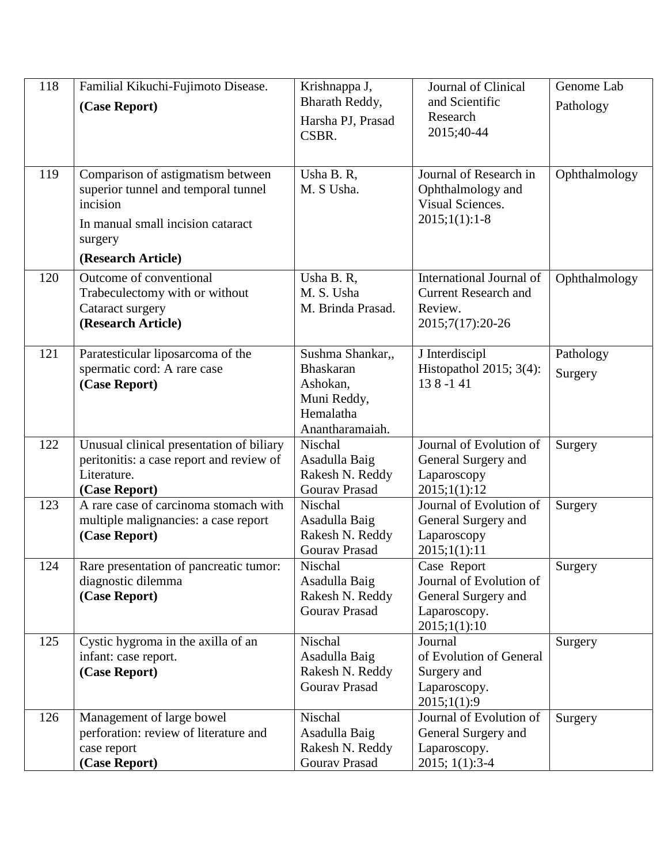| 118 | Familial Kikuchi-Fujimoto Disease.<br>(Case Report)                                                                                                        | Krishnappa J,<br>Bharath Reddy,<br>Harsha PJ, Prasad<br>CSBR.                                   | Journal of Clinical<br>and Scientific<br>Research<br>2015;40-44                               | Genome Lab<br>Pathology |
|-----|------------------------------------------------------------------------------------------------------------------------------------------------------------|-------------------------------------------------------------------------------------------------|-----------------------------------------------------------------------------------------------|-------------------------|
| 119 | Comparison of astigmatism between<br>superior tunnel and temporal tunnel<br>incision<br>In manual small incision cataract<br>surgery<br>(Research Article) | Usha B. R,<br>M. S Usha.                                                                        | Journal of Research in<br>Ophthalmology and<br>Visual Sciences.<br>$2015;1(1):1-8$            | Ophthalmology           |
| 120 | Outcome of conventional<br>Trabeculectomy with or without<br>Cataract surgery<br>(Research Article)                                                        | Usha B. R,<br>M. S. Usha<br>M. Brinda Prasad.                                                   | International Journal of<br><b>Current Research and</b><br>Review.<br>2015;7(17):20-26        | Ophthalmology           |
| 121 | Paratesticular liposarcoma of the<br>spermatic cord: A rare case<br>(Case Report)                                                                          | Sushma Shankar,,<br><b>Bhaskaran</b><br>Ashokan,<br>Muni Reddy,<br>Hemalatha<br>Anantharamaiah. | J Interdiscipl<br>Histopathol 2015; $3(4)$ :<br>138-141                                       | Pathology<br>Surgery    |
| 122 | Unusual clinical presentation of biliary<br>peritonitis: a case report and review of<br>Literature.<br>(Case Report)                                       | Nischal<br>Asadulla Baig<br>Rakesh N. Reddy<br><b>Gourav Prasad</b>                             | Journal of Evolution of<br>General Surgery and<br>Laparoscopy<br>2015;1(1):12                 | Surgery                 |
| 123 | A rare case of carcinoma stomach with<br>multiple malignancies: a case report<br>(Case Report)                                                             | Nischal<br>Asadulla Baig<br>Rakesh N. Reddy<br>Gourav Prasad                                    | Journal of Evolution of<br>General Surgery and<br>Laparoscopy<br>2015;1(1):11                 | Surgery                 |
| 124 | Rare presentation of pancreatic tumor:<br>diagnostic dilemma<br>(Case Report)                                                                              | Nischal<br>Asadulla Baig<br>Rakesh N. Reddy<br><b>Gourav Prasad</b>                             | Case Report<br>Journal of Evolution of<br>General Surgery and<br>Laparoscopy.<br>2015;1(1):10 | Surgery                 |
| 125 | Cystic hygroma in the axilla of an<br>infant: case report.<br>(Case Report)                                                                                | Nischal<br>Asadulla Baig<br>Rakesh N. Reddy<br><b>Gourav Prasad</b>                             | Journal<br>of Evolution of General<br>Surgery and<br>Laparoscopy.<br>2015;1(1):9              | Surgery                 |
| 126 | Management of large bowel<br>perforation: review of literature and<br>case report<br>(Case Report)                                                         | Nischal<br>Asadulla Baig<br>Rakesh N. Reddy<br><b>Gourav Prasad</b>                             | Journal of Evolution of<br>General Surgery and<br>Laparoscopy.<br>2015; 1(1):3-4              | Surgery                 |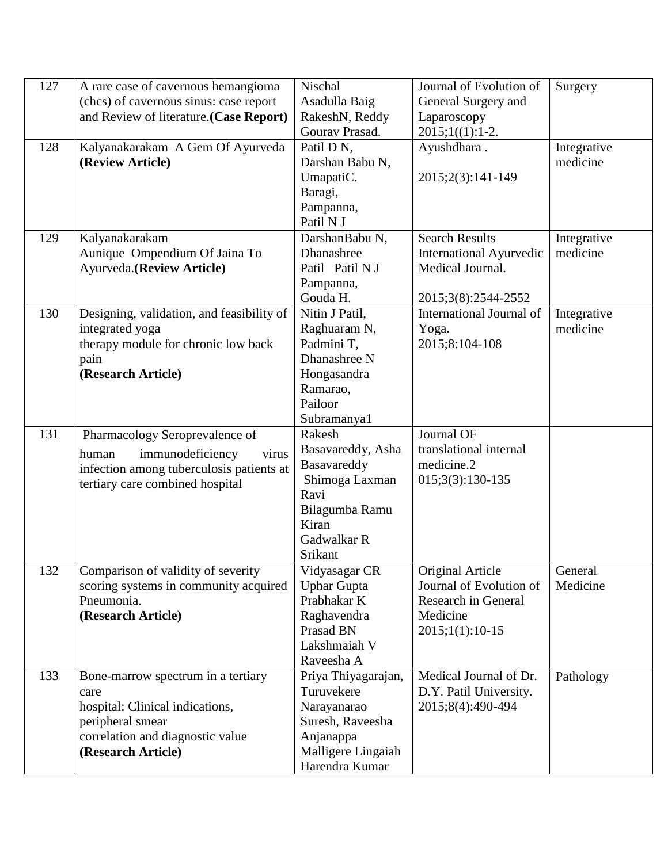| 127 | A rare case of cavernous hemangioma       | Nischal             | Journal of Evolution of        | Surgery     |
|-----|-------------------------------------------|---------------------|--------------------------------|-------------|
|     | (chcs) of cavernous sinus: case report    | Asadulla Baig       | General Surgery and            |             |
|     | and Review of literature. (Case Report)   | RakeshN, Reddy      | Laparoscopy                    |             |
|     |                                           | Gourav Prasad.      | $2015;1(1):1-2.$               |             |
| 128 | Kalyanakarakam-A Gem Of Ayurveda          | Patil D N,          | Ayushdhara.                    | Integrative |
|     | (Review Article)                          | Darshan Babu N,     |                                | medicine    |
|     |                                           | UmapatiC.           | 2015;2(3):141-149              |             |
|     |                                           | Baragi,             |                                |             |
|     |                                           | Pampanna,           |                                |             |
|     |                                           | Patil N J           |                                |             |
| 129 | Kalyanakarakam                            | DarshanBabu N,      | <b>Search Results</b>          | Integrative |
|     | Aunique Ompendium Of Jaina To             | Dhanashree          | <b>International Ayurvedic</b> | medicine    |
|     | Ayurveda.(Review Article)                 | Patil Patil N J     | Medical Journal.               |             |
|     |                                           | Pampanna,           |                                |             |
|     |                                           | Gouda H.            | 2015;3(8):2544-2552            |             |
| 130 | Designing, validation, and feasibility of | Nitin J Patil,      | International Journal of       | Integrative |
|     | integrated yoga                           | Raghuaram N,        | Yoga.                          | medicine    |
|     | therapy module for chronic low back       | Padmini T,          | 2015;8:104-108                 |             |
|     | pain                                      | Dhanashree N        |                                |             |
|     | (Research Article)                        | Hongasandra         |                                |             |
|     |                                           | Ramarao,            |                                |             |
|     |                                           | Pailoor             |                                |             |
|     |                                           | Subramanya1         |                                |             |
| 131 | Pharmacology Seroprevalence of            | Rakesh              | Journal OF                     |             |
|     | immunodeficiency<br>virus<br>human        | Basavareddy, Asha   | translational internal         |             |
|     | infection among tuberculosis patients at  | Basavareddy         | medicine.2                     |             |
|     | tertiary care combined hospital           | Shimoga Laxman      | $015;3(3):130-135$             |             |
|     |                                           | Ravi                |                                |             |
|     |                                           | Bilagumba Ramu      |                                |             |
|     |                                           | Kiran               |                                |             |
|     |                                           | Gadwalkar R         |                                |             |
|     |                                           | Srikant             |                                |             |
| 132 | Comparison of validity of severity        | Vidyasagar CR       | Original Article               | General     |
|     | scoring systems in community acquired     | <b>Uphar Gupta</b>  | Journal of Evolution of        | Medicine    |
|     | Pneumonia.                                | Prabhakar K         | <b>Research in General</b>     |             |
|     | (Research Article)                        | Raghavendra         | Medicine                       |             |
|     |                                           | Prasad BN           | $2015;1(1):10-15$              |             |
|     |                                           | Lakshmaiah V        |                                |             |
|     |                                           | Raveesha A          |                                |             |
| 133 | Bone-marrow spectrum in a tertiary        | Priya Thiyagarajan, | Medical Journal of Dr.         | Pathology   |
|     | care                                      | Turuvekere          | D.Y. Patil University.         |             |
|     | hospital: Clinical indications,           | Narayanarao         | 2015;8(4):490-494              |             |
|     | peripheral smear                          | Suresh, Raveesha    |                                |             |
|     | correlation and diagnostic value          | Anjanappa           |                                |             |
|     | (Research Article)                        | Malligere Lingaiah  |                                |             |
|     |                                           | Harendra Kumar      |                                |             |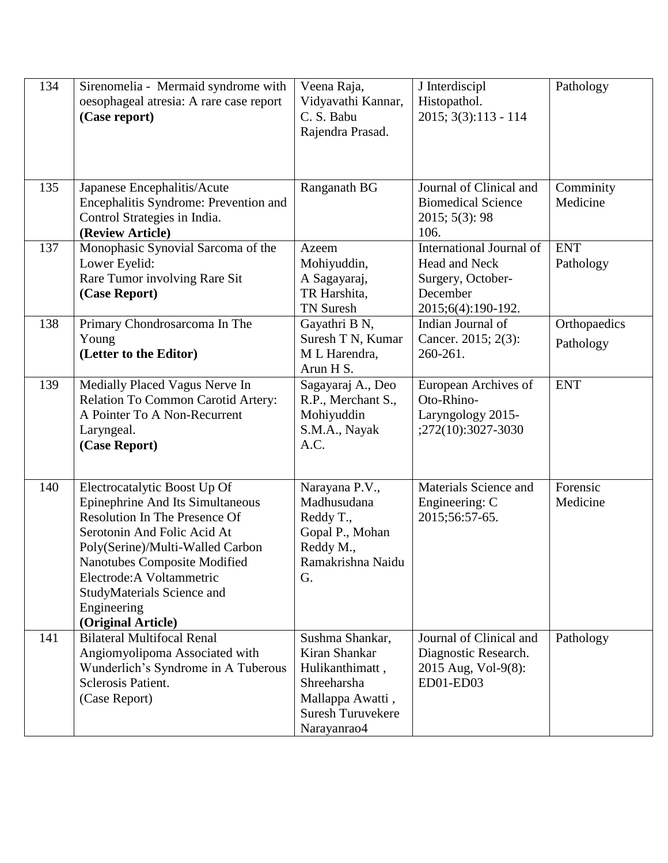| 134 | Sirenomelia - Mermaid syndrome with<br>oesophageal atresia: A rare case report<br>(Case report)                                                                                                                                                                                                                    | Veena Raja,<br>Vidyavathi Kannar,<br>C. S. Babu<br>Rajendra Prasad.                                                               | J Interdiscipl<br>Histopathol.<br>2015; 3(3):113 - 114                                           | Pathology                 |
|-----|--------------------------------------------------------------------------------------------------------------------------------------------------------------------------------------------------------------------------------------------------------------------------------------------------------------------|-----------------------------------------------------------------------------------------------------------------------------------|--------------------------------------------------------------------------------------------------|---------------------------|
| 135 | Japanese Encephalitis/Acute<br>Encephalitis Syndrome: Prevention and<br>Control Strategies in India.<br>(Review Article)                                                                                                                                                                                           | Ranganath BG                                                                                                                      | Journal of Clinical and<br><b>Biomedical Science</b><br>2015; 5(3): 98<br>106.                   | Comminity<br>Medicine     |
| 137 | Monophasic Synovial Sarcoma of the<br>Lower Eyelid:<br>Rare Tumor involving Rare Sit<br>(Case Report)                                                                                                                                                                                                              | Azeem<br>Mohiyuddin,<br>A Sagayaraj,<br>TR Harshita,<br><b>TN Suresh</b>                                                          | International Journal of<br>Head and Neck<br>Surgery, October-<br>December<br>2015;6(4):190-192. | <b>ENT</b><br>Pathology   |
| 138 | Primary Chondrosarcoma In The<br>Young<br>(Letter to the Editor)                                                                                                                                                                                                                                                   | Gayathri B N,<br>Suresh T N, Kumar<br>M L Harendra,<br>Arun H S.                                                                  | Indian Journal of<br>Cancer. 2015; 2(3):<br>260-261.                                             | Orthopaedics<br>Pathology |
| 139 | Medially Placed Vagus Nerve In<br>Relation To Common Carotid Artery:<br>A Pointer To A Non-Recurrent<br>Laryngeal.<br>(Case Report)                                                                                                                                                                                | Sagayaraj A., Deo<br>R.P., Merchant S.,<br>Mohiyuddin<br>S.M.A., Nayak<br>A.C.                                                    | European Archives of<br>Oto-Rhino-<br>Laryngology 2015-<br>;272(10):3027-3030                    | <b>ENT</b>                |
| 140 | Electrocatalytic Boost Up Of<br>Epinephrine And Its Simultaneous<br><b>Resolution In The Presence Of</b><br>Serotonin And Folic Acid At<br>Poly(Serine)/Multi-Walled Carbon<br><b>Nanotubes Composite Modified</b><br>Electrode: A Voltammetric<br>StudyMaterials Science and<br>Engineering<br>(Original Article) | Narayana P.V.,<br>Madhusudana<br>Reddy T.,<br>Gopal P., Mohan<br>Reddy M.,<br>Ramakrishna Naidu<br>G.                             | Materials Science and<br>Engineering: C<br>2015;56:57-65.                                        | Forensic<br>Medicine      |
| 141 | <b>Bilateral Multifocal Renal</b><br>Angiomyolipoma Associated with<br>Wunderlich's Syndrome in A Tuberous<br><b>Sclerosis Patient.</b><br>(Case Report)                                                                                                                                                           | Sushma Shankar,<br>Kiran Shankar<br>Hulikanthimatt,<br>Shreeharsha<br>Mallappa Awatti,<br><b>Suresh Turuvekere</b><br>Narayanrao4 | Journal of Clinical and<br>Diagnostic Research.<br>2015 Aug, Vol-9(8):<br>ED01-ED03              | Pathology                 |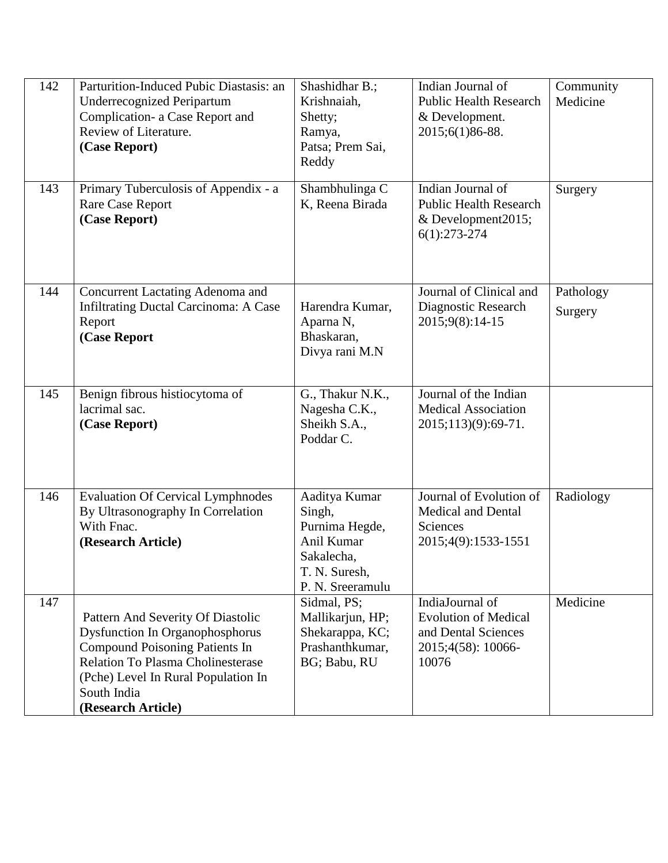| 142 | Parturition-Induced Pubic Diastasis: an<br><b>Underrecognized Peripartum</b><br>Complication- a Case Report and<br>Review of Literature.<br>(Case Report)                                                                                    | Shashidhar B.;<br>Krishnaiah,<br>Shetty;<br>Ramya,<br>Patsa; Prem Sai,<br>Reddy                            | Indian Journal of<br><b>Public Health Research</b><br>& Development.<br>2015;6(1)86-88.              | Community<br>Medicine |
|-----|----------------------------------------------------------------------------------------------------------------------------------------------------------------------------------------------------------------------------------------------|------------------------------------------------------------------------------------------------------------|------------------------------------------------------------------------------------------------------|-----------------------|
| 143 | Primary Tuberculosis of Appendix - a<br><b>Rare Case Report</b><br>(Case Report)                                                                                                                                                             | Shambhulinga C<br>K, Reena Birada                                                                          | Indian Journal of<br><b>Public Health Research</b><br>& Development2015;<br>$6(1):273-274$           | Surgery               |
| 144 | Concurrent Lactating Adenoma and<br><b>Infiltrating Ductal Carcinoma: A Case</b><br>Report<br>(Case Report                                                                                                                                   | Harendra Kumar,<br>Aparna N,<br>Bhaskaran,<br>Divya rani M.N                                               | Journal of Clinical and<br>Diagnostic Research<br>2015;9(8):14-15                                    | Pathology<br>Surgery  |
| 145 | Benign fibrous histiocytoma of<br>lacrimal sac.<br>(Case Report)                                                                                                                                                                             | G., Thakur N.K.,<br>Nagesha C.K.,<br>Sheikh S.A.,<br>Poddar C.                                             | Journal of the Indian<br><b>Medical Association</b><br>2015;113)(9):69-71.                           |                       |
| 146 | <b>Evaluation Of Cervical Lymphnodes</b><br>By Ultrasonography In Correlation<br>With Fnac.<br>(Research Article)                                                                                                                            | Aaditya Kumar<br>Singh,<br>Purnima Hegde,<br>Anil Kumar<br>Sakalecha,<br>T. N. Suresh,<br>P. N. Sreeramulu | Journal of Evolution of<br><b>Medical and Dental</b><br>Sciences<br>2015;4(9):1533-1551              | Radiology             |
| 147 | Pattern And Severity Of Diastolic<br><b>Dysfunction In Organophosphorus</b><br><b>Compound Poisoning Patients In</b><br><b>Relation To Plasma Cholinesterase</b><br>(Pche) Level In Rural Population In<br>South India<br>(Research Article) | Sidmal, PS;<br>Mallikarjun, HP;<br>Shekarappa, KC;<br>Prashanthkumar,<br>BG; Babu, RU                      | IndiaJournal of<br><b>Evolution of Medical</b><br>and Dental Sciences<br>2015;4(58): 10066-<br>10076 | Medicine              |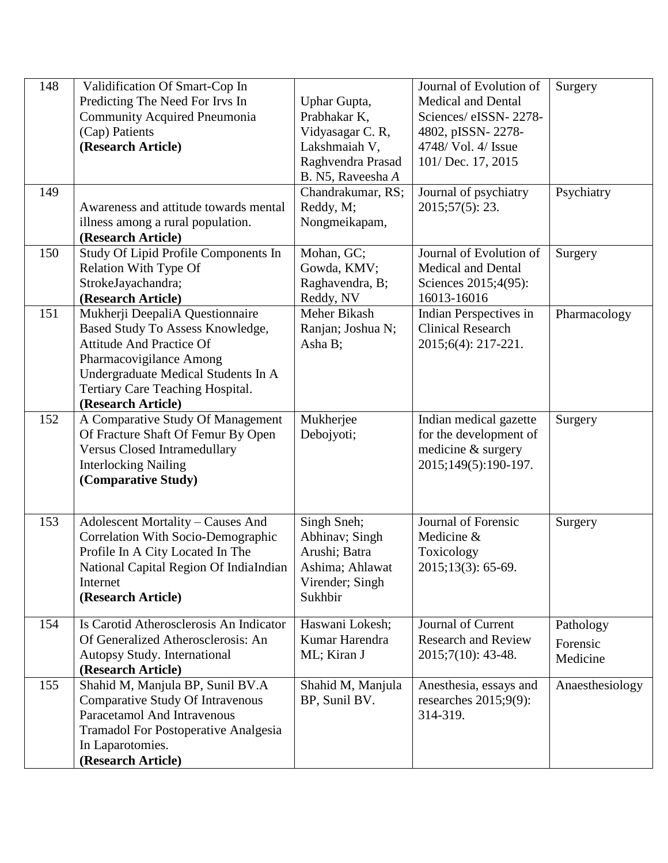| 148<br>149 | Validification Of Smart-Cop In<br>Predicting The Need For Irvs In<br><b>Community Acquired Pneumonia</b><br>(Cap) Patients<br>(Research Article)<br>Awareness and attitude towards mental                                          | Uphar Gupta,<br>Prabhakar K,<br>Vidyasagar C. R,<br>Lakshmaiah V,<br>Raghvendra Prasad<br>B. N5, Raveesha A<br>Chandrakumar, RS;<br>Reddy, M; | Journal of Evolution of<br><b>Medical and Dental</b><br>Sciences/eISSN-2278-<br>4802, pISSN-2278-<br>4748/ Vol. 4/ Issue<br>101/ Dec. 17, 2015<br>Journal of psychiatry<br>2015;57(5): 23. | Surgery<br>Psychiatry             |
|------------|------------------------------------------------------------------------------------------------------------------------------------------------------------------------------------------------------------------------------------|-----------------------------------------------------------------------------------------------------------------------------------------------|--------------------------------------------------------------------------------------------------------------------------------------------------------------------------------------------|-----------------------------------|
|            | illness among a rural population.<br>(Research Article)                                                                                                                                                                            | Nongmeikapam,                                                                                                                                 |                                                                                                                                                                                            |                                   |
| 150        | Study Of Lipid Profile Components In<br>Relation With Type Of<br>StrokeJayachandra;<br>(Research Article)                                                                                                                          | Mohan, GC;<br>Gowda, KMV;<br>Raghavendra, B;<br>Reddy, NV                                                                                     | Journal of Evolution of<br><b>Medical and Dental</b><br>Sciences 2015;4(95):<br>16013-16016                                                                                                | Surgery                           |
| 151        | Mukherji DeepaliA Questionnaire<br>Based Study To Assess Knowledge,<br><b>Attitude And Practice Of</b><br>Pharmacovigilance Among<br>Undergraduate Medical Students In A<br>Tertiary Care Teaching Hospital.<br>(Research Article) | Meher Bikash<br>Ranjan; Joshua N;<br>Asha B;                                                                                                  | Indian Perspectives in<br><b>Clinical Research</b><br>2015;6(4): 217-221.                                                                                                                  | Pharmacology                      |
| 152        | A Comparative Study Of Management<br>Of Fracture Shaft Of Femur By Open<br><b>Versus Closed Intramedullary</b><br><b>Interlocking Nailing</b><br>(Comparative Study)                                                               | Mukherjee<br>Debojyoti;                                                                                                                       | Indian medical gazette<br>for the development of<br>medicine & surgery<br>2015;149(5):190-197.                                                                                             | Surgery                           |
| 153        | <b>Adolescent Mortality - Causes And</b><br>Correlation With Socio-Demographic<br>Profile In A City Located In The<br>National Capital Region Of IndiaIndian<br>Internet<br>(Research Article)                                     | Singh Sneh;<br>Abhinav; Singh<br>Arushi; Batra<br>Ashima; Ahlawat<br>Virender; Singh<br>Sukhbir                                               | Journal of Forensic<br>Medicine &<br>Toxicology<br>2015;13(3): 65-69.                                                                                                                      | Surgery                           |
| 154        | Is Carotid Atherosclerosis An Indicator<br>Of Generalized Atherosclerosis: An<br>Autopsy Study. International<br>(Research Article)                                                                                                | Haswani Lokesh;<br>Kumar Harendra<br>ML; Kiran J                                                                                              | <b>Journal of Current</b><br><b>Research and Review</b><br>2015;7(10): 43-48.                                                                                                              | Pathology<br>Forensic<br>Medicine |
| 155        | Shahid M, Manjula BP, Sunil BV.A<br>Comparative Study Of Intravenous<br>Paracetamol And Intravenous<br><b>Tramadol For Postoperative Analgesia</b><br>In Laparotomies.<br>(Research Article)                                       | Shahid M, Manjula<br>BP, Sunil BV.                                                                                                            | Anesthesia, essays and<br>researches $2015;9(9)$ :<br>314-319.                                                                                                                             | Anaesthesiology                   |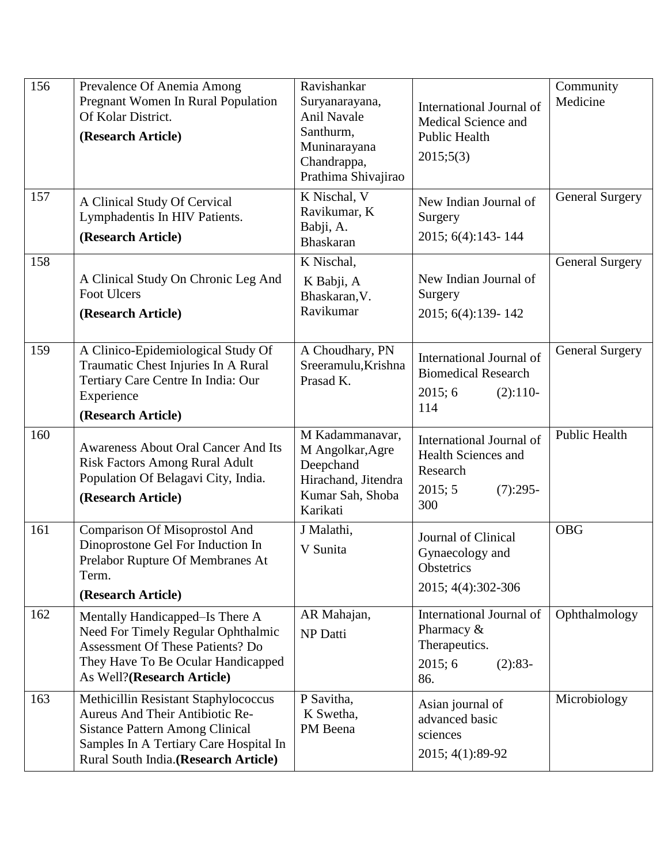| 156 | Prevalence Of Anemia Among<br>Pregnant Women In Rural Population<br>Of Kolar District.<br>(Research Article)                                                                                        | Ravishankar<br>Suryanarayana,<br><b>Anil Navale</b><br>Santhurm,<br>Muninarayana<br>Chandrappa,<br>Prathima Shivajirao | International Journal of<br>Medical Science and<br><b>Public Health</b><br>2015;5(3)        | Community<br>Medicine  |
|-----|-----------------------------------------------------------------------------------------------------------------------------------------------------------------------------------------------------|------------------------------------------------------------------------------------------------------------------------|---------------------------------------------------------------------------------------------|------------------------|
| 157 | A Clinical Study Of Cervical<br>Lymphadentis In HIV Patients.<br>(Research Article)                                                                                                                 | K Nischal, V<br>Ravikumar, K<br>Babji, A.<br><b>Bhaskaran</b>                                                          | New Indian Journal of<br>Surgery<br>2015; 6(4):143-144                                      | <b>General Surgery</b> |
| 158 | A Clinical Study On Chronic Leg And<br><b>Foot Ulcers</b><br>(Research Article)                                                                                                                     | K Nischal,<br>K Babji, A<br>Bhaskaran, V.<br>Ravikumar                                                                 | New Indian Journal of<br>Surgery<br>2015; 6(4):139-142                                      | <b>General Surgery</b> |
| 159 | A Clinico-Epidemiological Study Of<br>Traumatic Chest Injuries In A Rural<br>Tertiary Care Centre In India: Our<br>Experience<br>(Research Article)                                                 | A Choudhary, PN<br>Sreeramulu, Krishna<br>Prasad K.                                                                    | International Journal of<br><b>Biomedical Research</b><br>2015; 6<br>$(2):110-$<br>114      | <b>General Surgery</b> |
| 160 | Awareness About Oral Cancer And Its<br><b>Risk Factors Among Rural Adult</b><br>Population Of Belagavi City, India.<br>(Research Article)                                                           | M Kadammanavar,<br>M Angolkar, Agre<br>Deepchand<br>Hirachand, Jitendra<br>Kumar Sah, Shoba<br>Karikati                | International Journal of<br>Health Sciences and<br>Research<br>2015; 5<br>$(7):295-$<br>300 | Public Health          |
| 161 | Comparison Of Misoprostol And<br>Dinoprostone Gel For Induction In<br>Prelabor Rupture Of Membranes At<br>Term.<br>(Research Article)                                                               | J Malathi,<br>V Sunita                                                                                                 | Journal of Clinical<br>Gynaecology and<br>Obstetrics<br>2015; 4(4): 302-306                 | <b>OBG</b>             |
| 162 | Mentally Handicapped–Is There A<br>Need For Timely Regular Ophthalmic<br><b>Assessment Of These Patients? Do</b><br>They Have To Be Ocular Handicapped<br>As Well?(Research Article)                | AR Mahajan,<br>NP Datti                                                                                                | International Journal of<br>Pharmacy &<br>Therapeutics.<br>2015; 6<br>$(2):83-$<br>86.      | Ophthalmology          |
| 163 | Methicillin Resistant Staphylococcus<br>Aureus And Their Antibiotic Re-<br><b>Sistance Pattern Among Clinical</b><br>Samples In A Tertiary Care Hospital In<br>Rural South India.(Research Article) | P Savitha,<br>K Swetha,<br>PM Beena                                                                                    | Asian journal of<br>advanced basic<br>sciences<br>2015; 4(1):89-92                          | Microbiology           |